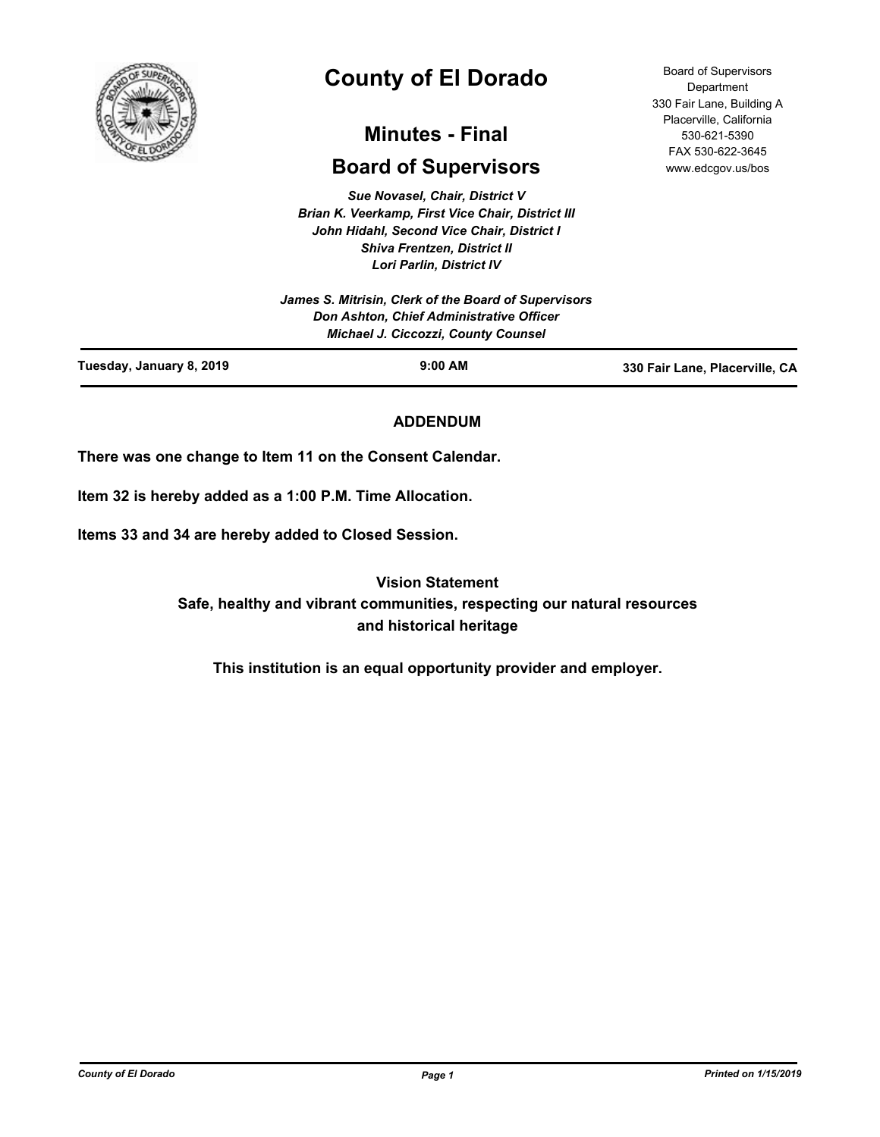

# **County of El Dorado**

## **Minutes - Final**

## **Board of Supervisors**

*Sue Novasel, Chair, District V John Hidahl, Second Vice Chair, District I Shiva Frentzen, District II Lori Parlin, District IV*

*Brian K. Veerkamp, First Vice Chair, District III James S. Mitrisin, Clerk of the Board of Supervisors*

*Don Ashton, Chief Administrative Officer Michael J. Ciccozzi, County Counsel* **Tuesday, January 8, 2019 9:00 AM 330 Fair Lane, Placerville, CA**

## **ADDENDUM**

**There was one change to Item 11 on the Consent Calendar.**

**Item 32 is hereby added as a 1:00 P.M. Time Allocation.**

**Items 33 and 34 are hereby added to Closed Session.**

**Vision Statement Safe, healthy and vibrant communities, respecting our natural resources and historical heritage**

**This institution is an equal opportunity provider and employer.**

*County of El Dorado Page 1 Printed on 1/15/2019*

Board of Supervisors **Department** 330 Fair Lane, Building A Placerville, California 530-621-5390 FAX 530-622-3645 www.edcgov.us/bos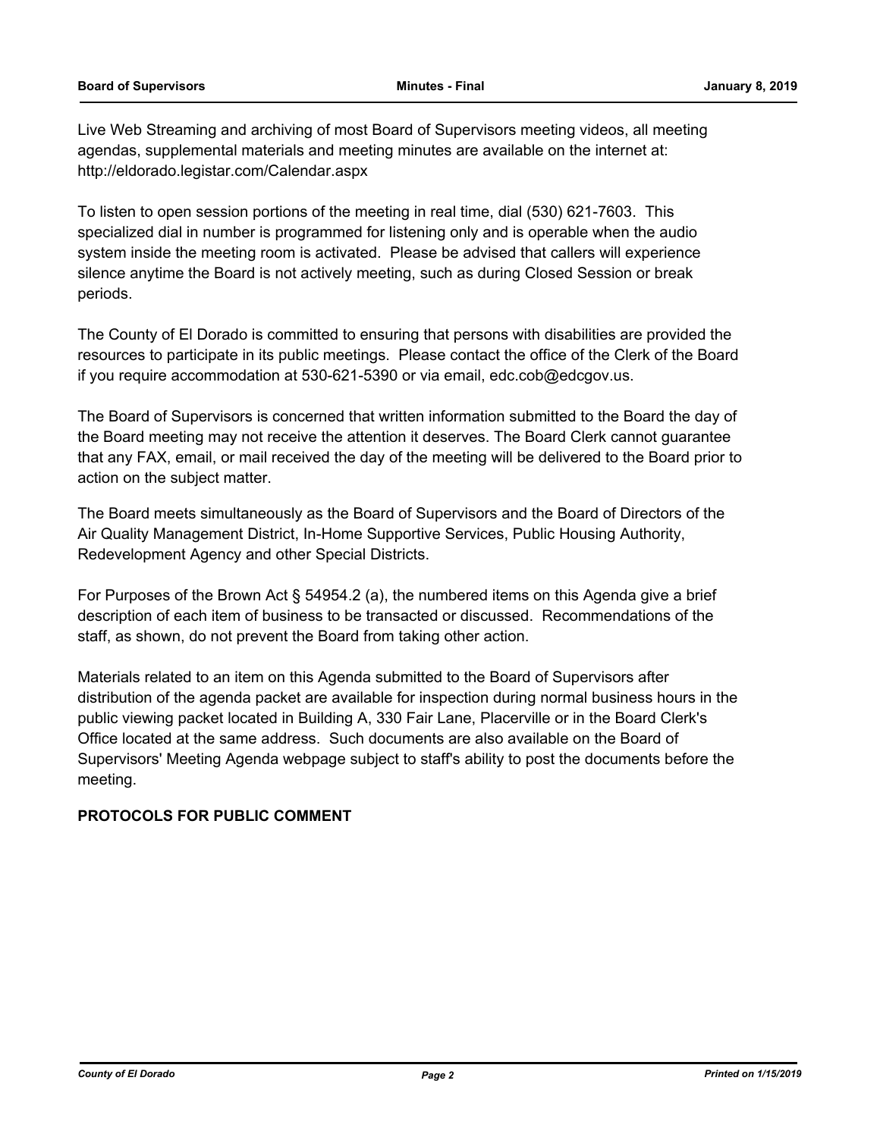Live Web Streaming and archiving of most Board of Supervisors meeting videos, all meeting agendas, supplemental materials and meeting minutes are available on the internet at: http://eldorado.legistar.com/Calendar.aspx

To listen to open session portions of the meeting in real time, dial (530) 621-7603. This specialized dial in number is programmed for listening only and is operable when the audio system inside the meeting room is activated. Please be advised that callers will experience silence anytime the Board is not actively meeting, such as during Closed Session or break periods.

The County of El Dorado is committed to ensuring that persons with disabilities are provided the resources to participate in its public meetings. Please contact the office of the Clerk of the Board if you require accommodation at 530-621-5390 or via email, edc.cob@edcgov.us.

The Board of Supervisors is concerned that written information submitted to the Board the day of the Board meeting may not receive the attention it deserves. The Board Clerk cannot guarantee that any FAX, email, or mail received the day of the meeting will be delivered to the Board prior to action on the subject matter.

The Board meets simultaneously as the Board of Supervisors and the Board of Directors of the Air Quality Management District, In-Home Supportive Services, Public Housing Authority, Redevelopment Agency and other Special Districts.

For Purposes of the Brown Act § 54954.2 (a), the numbered items on this Agenda give a brief description of each item of business to be transacted or discussed. Recommendations of the staff, as shown, do not prevent the Board from taking other action.

Materials related to an item on this Agenda submitted to the Board of Supervisors after distribution of the agenda packet are available for inspection during normal business hours in the public viewing packet located in Building A, 330 Fair Lane, Placerville or in the Board Clerk's Office located at the same address. Such documents are also available on the Board of Supervisors' Meeting Agenda webpage subject to staff's ability to post the documents before the meeting.

## **PROTOCOLS FOR PUBLIC COMMENT**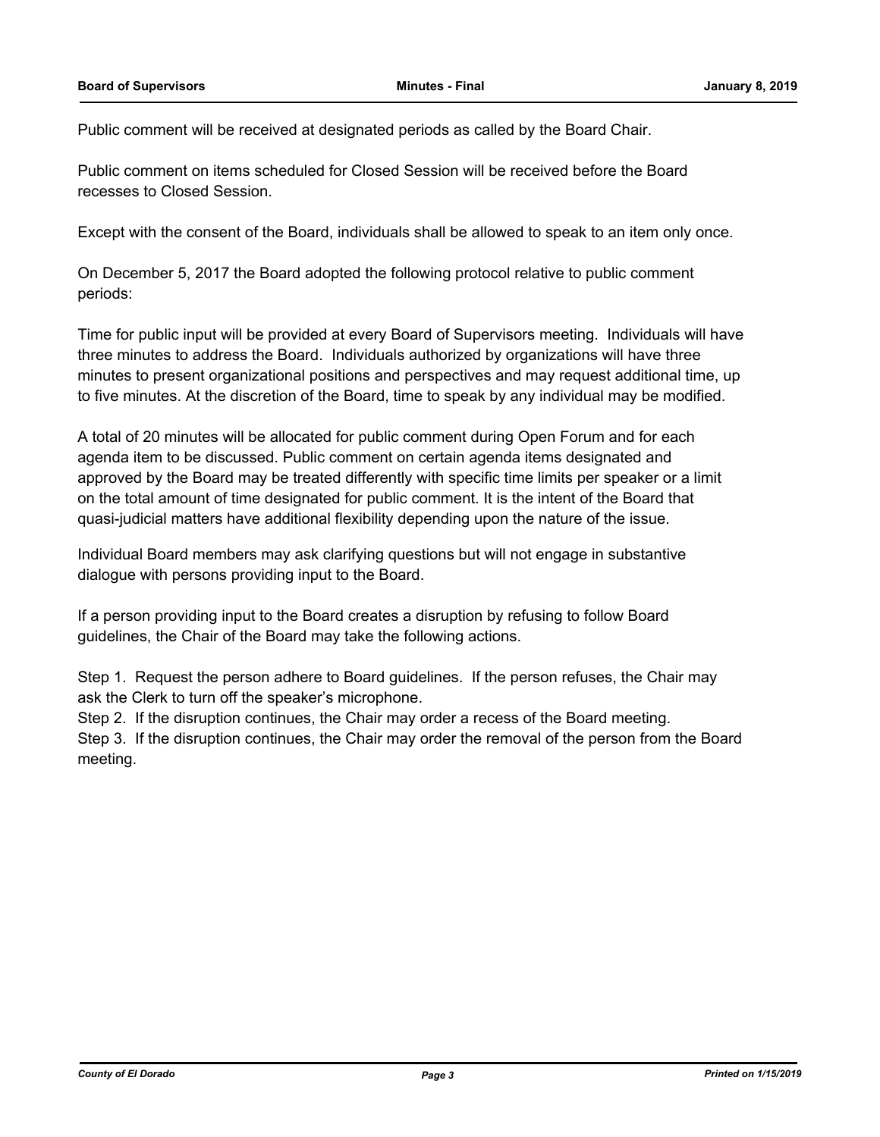Public comment will be received at designated periods as called by the Board Chair.

Public comment on items scheduled for Closed Session will be received before the Board recesses to Closed Session.

Except with the consent of the Board, individuals shall be allowed to speak to an item only once.

On December 5, 2017 the Board adopted the following protocol relative to public comment periods:

Time for public input will be provided at every Board of Supervisors meeting. Individuals will have three minutes to address the Board. Individuals authorized by organizations will have three minutes to present organizational positions and perspectives and may request additional time, up to five minutes. At the discretion of the Board, time to speak by any individual may be modified.

A total of 20 minutes will be allocated for public comment during Open Forum and for each agenda item to be discussed. Public comment on certain agenda items designated and approved by the Board may be treated differently with specific time limits per speaker or a limit on the total amount of time designated for public comment. It is the intent of the Board that quasi-judicial matters have additional flexibility depending upon the nature of the issue.

Individual Board members may ask clarifying questions but will not engage in substantive dialogue with persons providing input to the Board.

If a person providing input to the Board creates a disruption by refusing to follow Board guidelines, the Chair of the Board may take the following actions.

Step 1. Request the person adhere to Board guidelines. If the person refuses, the Chair may ask the Clerk to turn off the speaker's microphone.

Step 2. If the disruption continues, the Chair may order a recess of the Board meeting.

Step 3. If the disruption continues, the Chair may order the removal of the person from the Board meeting.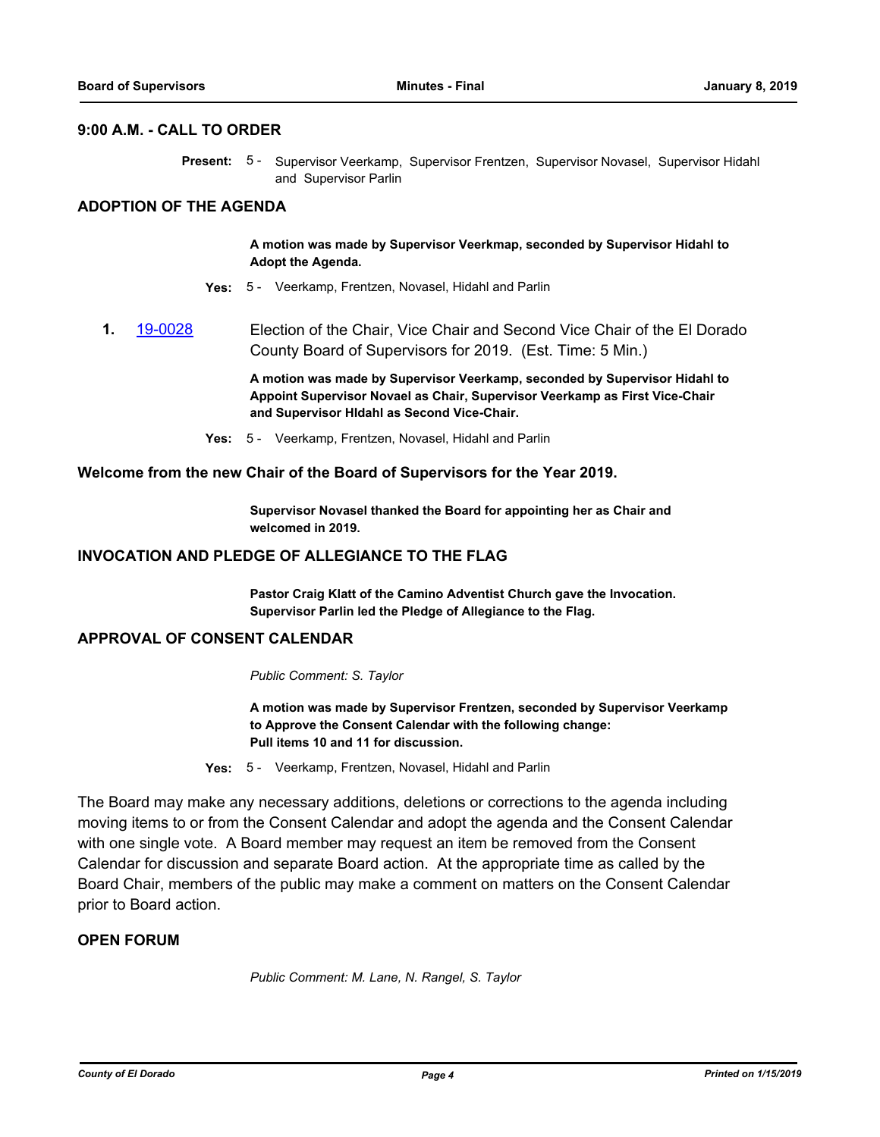#### **9:00 A.M. - CALL TO ORDER**

Present: 5 - Supervisor Veerkamp, Supervisor Frentzen, Supervisor Novasel, Supervisor Hidahl and Supervisor Parlin

## **ADOPTION OF THE AGENDA**

**A motion was made by Supervisor Veerkmap, seconded by Supervisor Hidahl to Adopt the Agenda.**

- **Yes:** 5 Veerkamp, Frentzen, Novasel, Hidahl and Parlin
- **1.** [19-0028](http://eldorado.legistar.com/gateway.aspx?m=l&id=/matter.aspx?key=25349) Election of the Chair, Vice Chair and Second Vice Chair of the El Dorado County Board of Supervisors for 2019. (Est. Time: 5 Min.)

**A motion was made by Supervisor Veerkamp, seconded by Supervisor Hidahl to Appoint Supervisor Novael as Chair, Supervisor Veerkamp as First Vice-Chair and Supervisor HIdahl as Second Vice-Chair.**

**Yes:** 5 - Veerkamp, Frentzen, Novasel, Hidahl and Parlin

#### **Welcome from the new Chair of the Board of Supervisors for the Year 2019.**

**Supervisor Novasel thanked the Board for appointing her as Chair and welcomed in 2019.**

#### **INVOCATION AND PLEDGE OF ALLEGIANCE TO THE FLAG**

**Pastor Craig Klatt of the Camino Adventist Church gave the Invocation. Supervisor Parlin led the Pledge of Allegiance to the Flag.**

## **APPROVAL OF CONSENT CALENDAR**

*Public Comment: S. Taylor*

**A motion was made by Supervisor Frentzen, seconded by Supervisor Veerkamp to Approve the Consent Calendar with the following change: Pull items 10 and 11 for discussion.**

**Yes:** 5 - Veerkamp, Frentzen, Novasel, Hidahl and Parlin

The Board may make any necessary additions, deletions or corrections to the agenda including moving items to or from the Consent Calendar and adopt the agenda and the Consent Calendar with one single vote. A Board member may request an item be removed from the Consent Calendar for discussion and separate Board action. At the appropriate time as called by the Board Chair, members of the public may make a comment on matters on the Consent Calendar prior to Board action.

## **OPEN FORUM**

*Public Comment: M. Lane, N. Rangel, S. Taylor*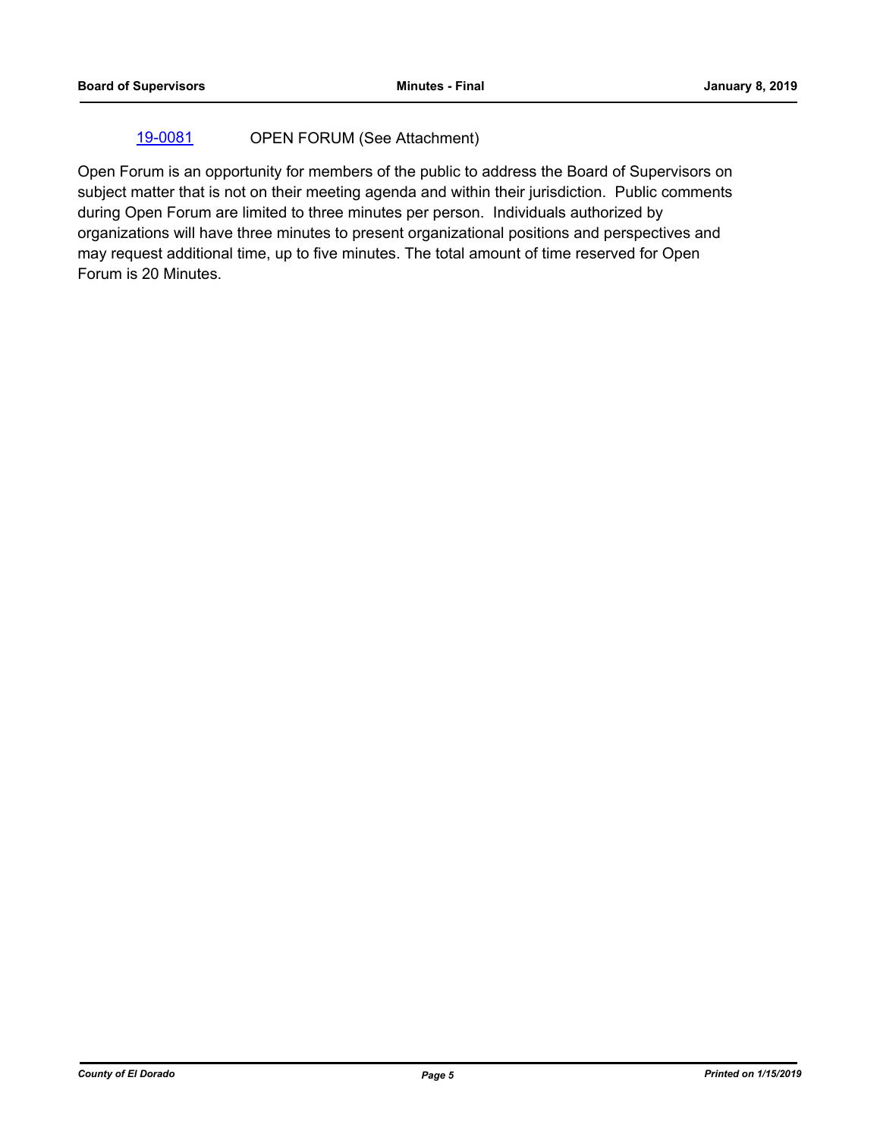## [19-0081](http://eldorado.legistar.com/gateway.aspx?m=l&id=/matter.aspx?key=25402) OPEN FORUM (See Attachment)

Open Forum is an opportunity for members of the public to address the Board of Supervisors on subject matter that is not on their meeting agenda and within their jurisdiction. Public comments during Open Forum are limited to three minutes per person. Individuals authorized by organizations will have three minutes to present organizational positions and perspectives and may request additional time, up to five minutes. The total amount of time reserved for Open Forum is 20 Minutes.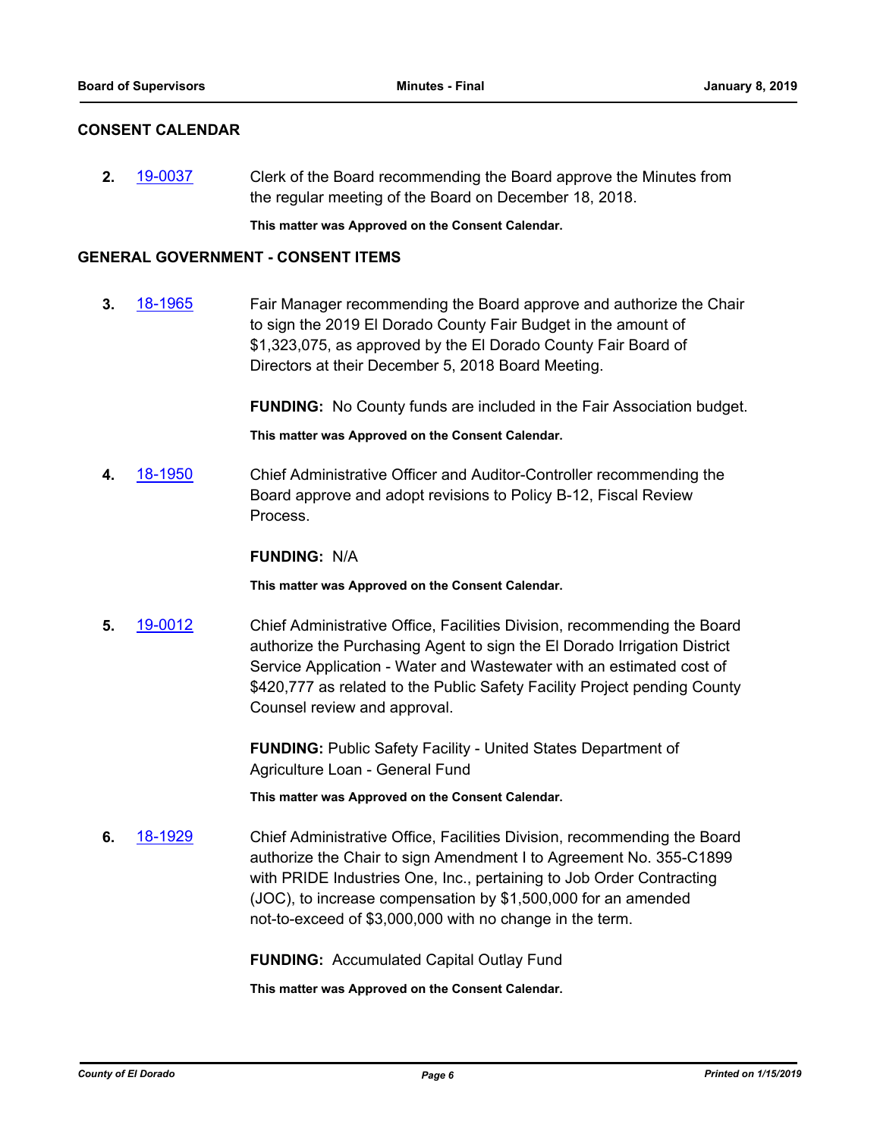## **CONSENT CALENDAR**

**2.** [19-0037](http://eldorado.legistar.com/gateway.aspx?m=l&id=/matter.aspx?key=25358) Clerk of the Board recommending the Board approve the Minutes from the regular meeting of the Board on December 18, 2018.

**This matter was Approved on the Consent Calendar.**

#### **GENERAL GOVERNMENT - CONSENT ITEMS**

**3.** [18-1965](http://eldorado.legistar.com/gateway.aspx?m=l&id=/matter.aspx?key=25315) Fair Manager recommending the Board approve and authorize the Chair to sign the 2019 El Dorado County Fair Budget in the amount of \$1,323,075, as approved by the El Dorado County Fair Board of Directors at their December 5, 2018 Board Meeting.

> **FUNDING:** No County funds are included in the Fair Association budget. **This matter was Approved on the Consent Calendar.**

**4.** [18-1950](http://eldorado.legistar.com/gateway.aspx?m=l&id=/matter.aspx?key=25300) Chief Administrative Officer and Auditor-Controller recommending the Board approve and adopt revisions to Policy B-12, Fiscal Review Process.

#### **FUNDING:** N/A

**This matter was Approved on the Consent Calendar.**

**5.** [19-0012](http://eldorado.legistar.com/gateway.aspx?m=l&id=/matter.aspx?key=25333) Chief Administrative Office, Facilities Division, recommending the Board authorize the Purchasing Agent to sign the El Dorado Irrigation District Service Application - Water and Wastewater with an estimated cost of \$420,777 as related to the Public Safety Facility Project pending County Counsel review and approval.

> **FUNDING:** Public Safety Facility - United States Department of Agriculture Loan - General Fund

**This matter was Approved on the Consent Calendar.**

**6.** [18-1929](http://eldorado.legistar.com/gateway.aspx?m=l&id=/matter.aspx?key=25279) Chief Administrative Office, Facilities Division, recommending the Board authorize the Chair to sign Amendment I to Agreement No. 355-C1899 with PRIDE Industries One, Inc., pertaining to Job Order Contracting (JOC), to increase compensation by \$1,500,000 for an amended not-to-exceed of \$3,000,000 with no change in the term.

**FUNDING:** Accumulated Capital Outlay Fund

**This matter was Approved on the Consent Calendar.**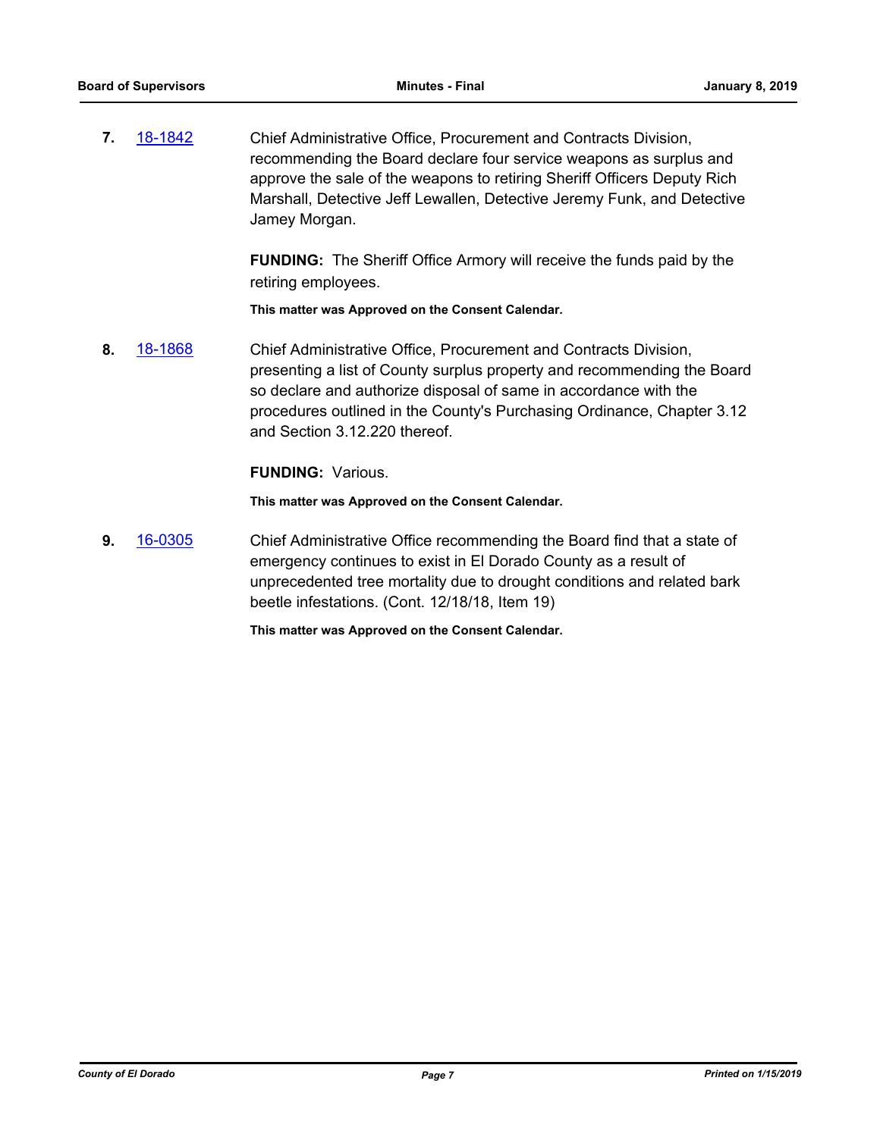**7.** [18-1842](http://eldorado.legistar.com/gateway.aspx?m=l&id=/matter.aspx?key=25192) Chief Administrative Office, Procurement and Contracts Division, recommending the Board declare four service weapons as surplus and approve the sale of the weapons to retiring Sheriff Officers Deputy Rich Marshall, Detective Jeff Lewallen, Detective Jeremy Funk, and Detective Jamey Morgan.

> **FUNDING:** The Sheriff Office Armory will receive the funds paid by the retiring employees.

**This matter was Approved on the Consent Calendar.**

**8.** [18-1868](http://eldorado.legistar.com/gateway.aspx?m=l&id=/matter.aspx?key=25218) Chief Administrative Office, Procurement and Contracts Division, presenting a list of County surplus property and recommending the Board so declare and authorize disposal of same in accordance with the procedures outlined in the County's Purchasing Ordinance, Chapter 3.12 and Section 3.12.220 thereof.

#### **FUNDING:** Various.

**This matter was Approved on the Consent Calendar.**

**9.** [16-0305](http://eldorado.legistar.com/gateway.aspx?m=l&id=/matter.aspx?key=20961) Chief Administrative Office recommending the Board find that a state of emergency continues to exist in El Dorado County as a result of unprecedented tree mortality due to drought conditions and related bark beetle infestations. (Cont. 12/18/18, Item 19)

**This matter was Approved on the Consent Calendar.**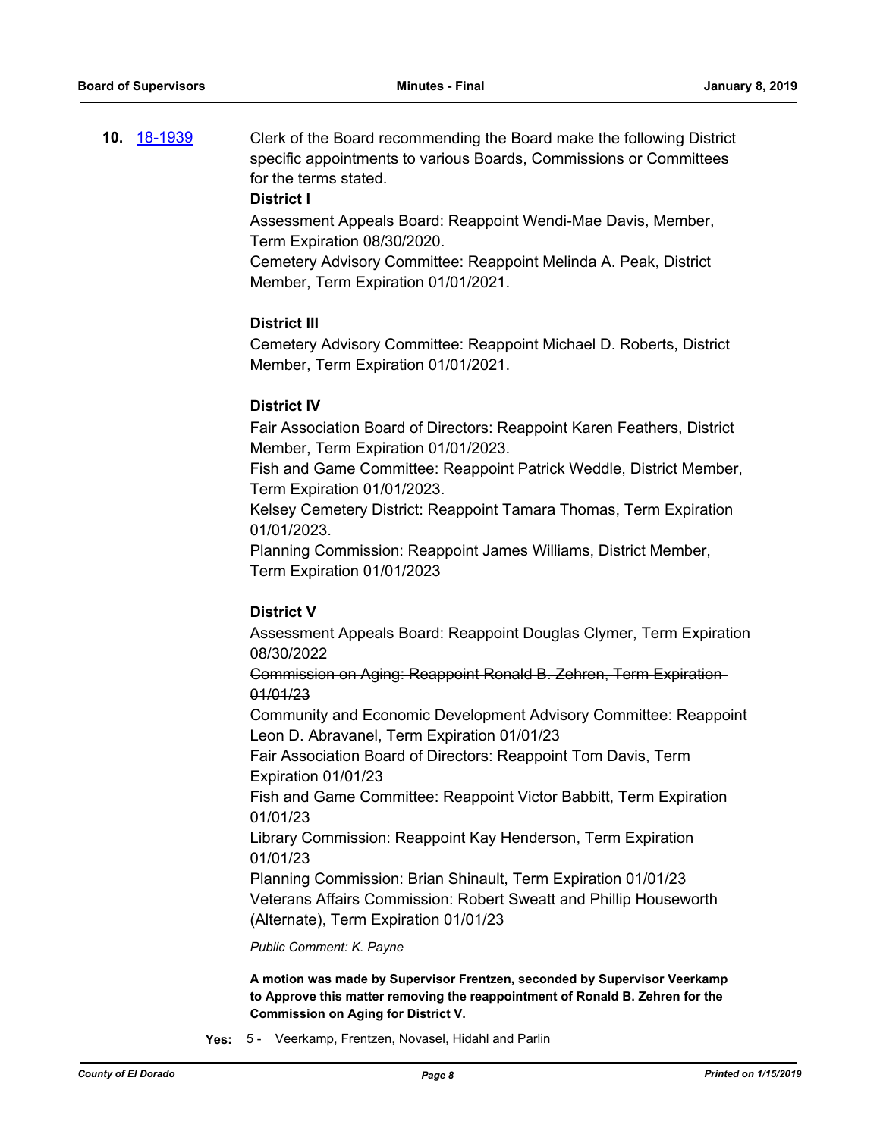**10.** [18-1939](http://eldorado.legistar.com/gateway.aspx?m=l&id=/matter.aspx?key=25289) Clerk of the Board recommending the Board make the following District specific appointments to various Boards, Commissions or Committees for the terms stated.

#### **District I**

Assessment Appeals Board: Reappoint Wendi-Mae Davis, Member, Term Expiration 08/30/2020.

Cemetery Advisory Committee: Reappoint Melinda A. Peak, District Member, Term Expiration 01/01/2021.

## **District III**

Cemetery Advisory Committee: Reappoint Michael D. Roberts, District Member, Term Expiration 01/01/2021.

#### **District IV**

Fair Association Board of Directors: Reappoint Karen Feathers, District Member, Term Expiration 01/01/2023.

Fish and Game Committee: Reappoint Patrick Weddle, District Member, Term Expiration 01/01/2023.

Kelsey Cemetery District: Reappoint Tamara Thomas, Term Expiration 01/01/2023.

Planning Commission: Reappoint James Williams, District Member, Term Expiration 01/01/2023

## **District V**

Assessment Appeals Board: Reappoint Douglas Clymer, Term Expiration 08/30/2022

Commission on Aging: Reappoint Ronald B. Zehren, Term Expiration 01/01/23

Community and Economic Development Advisory Committee: Reappoint Leon D. Abravanel, Term Expiration 01/01/23

Fair Association Board of Directors: Reappoint Tom Davis, Term Expiration 01/01/23

Fish and Game Committee: Reappoint Victor Babbitt, Term Expiration 01/01/23

Library Commission: Reappoint Kay Henderson, Term Expiration 01/01/23

Planning Commission: Brian Shinault, Term Expiration 01/01/23 Veterans Affairs Commission: Robert Sweatt and Phillip Houseworth (Alternate), Term Expiration 01/01/23

*Public Comment: K. Payne*

**A motion was made by Supervisor Frentzen, seconded by Supervisor Veerkamp to Approve this matter removing the reappointment of Ronald B. Zehren for the Commission on Aging for District V.**

**Yes:** 5 - Veerkamp, Frentzen, Novasel, Hidahl and Parlin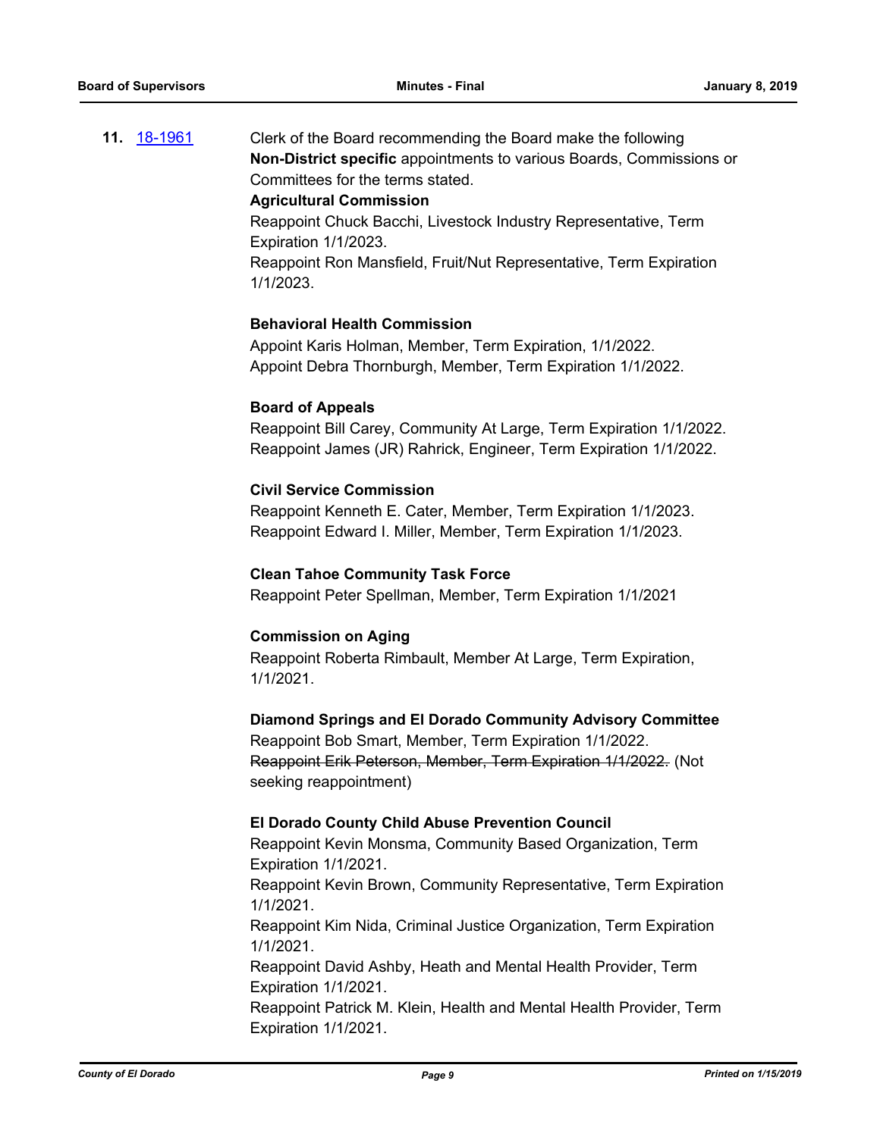**11.** [18-1961](http://eldorado.legistar.com/gateway.aspx?m=l&id=/matter.aspx?key=25311) Clerk of the Board recommending the Board make the following **Non-District specific** appointments to various Boards, Commissions or Committees for the terms stated.

#### **Agricultural Commission**

Reappoint Chuck Bacchi, Livestock Industry Representative, Term Expiration 1/1/2023.

Reappoint Ron Mansfield, Fruit/Nut Representative, Term Expiration 1/1/2023.

## **Behavioral Health Commission**

Appoint Karis Holman, Member, Term Expiration, 1/1/2022. Appoint Debra Thornburgh, Member, Term Expiration 1/1/2022.

#### **Board of Appeals**

Reappoint Bill Carey, Community At Large, Term Expiration 1/1/2022. Reappoint James (JR) Rahrick, Engineer, Term Expiration 1/1/2022.

## **Civil Service Commission**

Reappoint Kenneth E. Cater, Member, Term Expiration 1/1/2023. Reappoint Edward I. Miller, Member, Term Expiration 1/1/2023.

#### **Clean Tahoe Community Task Force**

Reappoint Peter Spellman, Member, Term Expiration 1/1/2021

## **Commission on Aging**

Reappoint Roberta Rimbault, Member At Large, Term Expiration, 1/1/2021.

#### **Diamond Springs and El Dorado Community Advisory Committee**

Reappoint Bob Smart, Member, Term Expiration 1/1/2022. Reappoint Erik Peterson, Member, Term Expiration 1/1/2022. (Not seeking reappointment)

#### **El Dorado County Child Abuse Prevention Council**

Reappoint Kevin Monsma, Community Based Organization, Term Expiration 1/1/2021. Reappoint Kevin Brown, Community Representative, Term Expiration 1/1/2021.

Reappoint Kim Nida, Criminal Justice Organization, Term Expiration 1/1/2021.

Reappoint David Ashby, Heath and Mental Health Provider, Term Expiration 1/1/2021.

Reappoint Patrick M. Klein, Health and Mental Health Provider, Term Expiration 1/1/2021.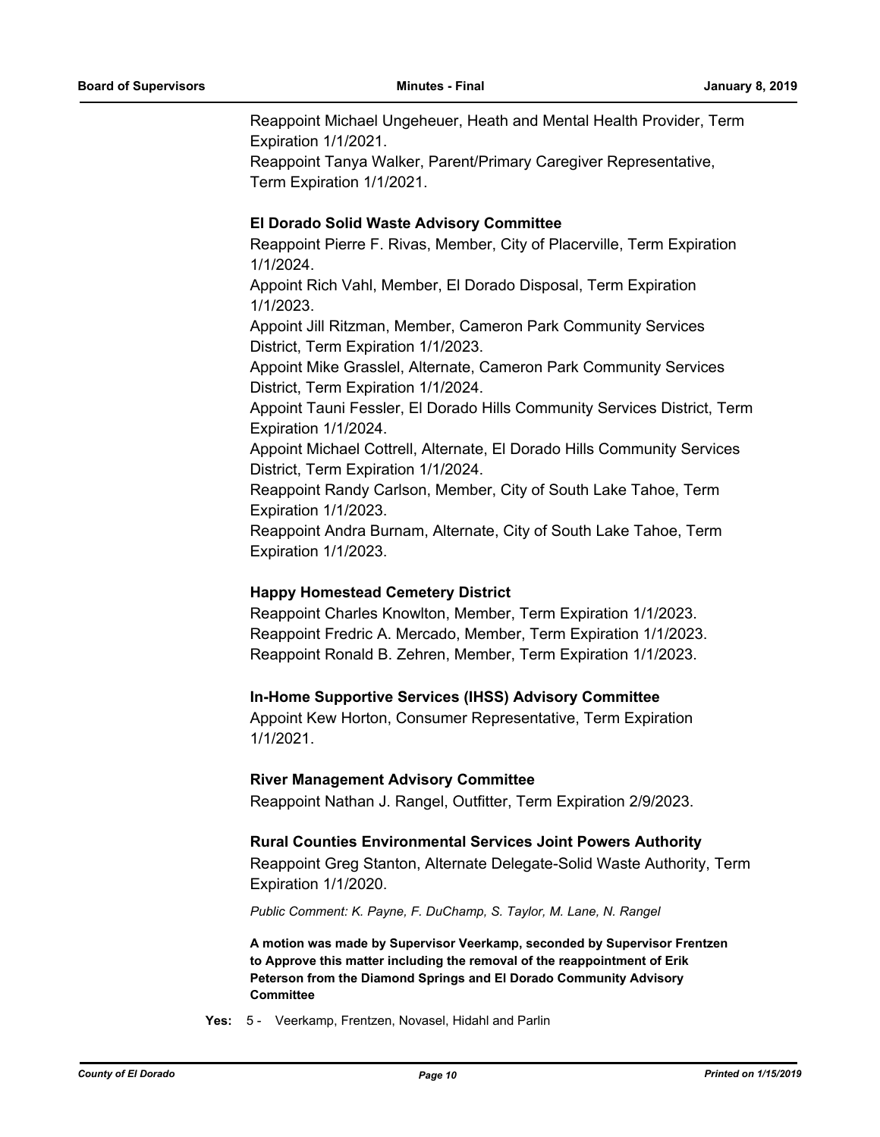Reappoint Michael Ungeheuer, Heath and Mental Health Provider, Term Expiration 1/1/2021.

Reappoint Tanya Walker, Parent/Primary Caregiver Representative, Term Expiration 1/1/2021.

## **El Dorado Solid Waste Advisory Committee**

Reappoint Pierre F. Rivas, Member, City of Placerville, Term Expiration 1/1/2024.

Appoint Rich Vahl, Member, El Dorado Disposal, Term Expiration 1/1/2023.

Appoint Jill Ritzman, Member, Cameron Park Community Services District, Term Expiration 1/1/2023.

Appoint Mike Grasslel, Alternate, Cameron Park Community Services District, Term Expiration 1/1/2024.

Appoint Tauni Fessler, El Dorado Hills Community Services District, Term Expiration 1/1/2024.

Appoint Michael Cottrell, Alternate, El Dorado Hills Community Services District, Term Expiration 1/1/2024.

Reappoint Randy Carlson, Member, City of South Lake Tahoe, Term Expiration 1/1/2023.

Reappoint Andra Burnam, Alternate, City of South Lake Tahoe, Term Expiration 1/1/2023.

## **Happy Homestead Cemetery District**

Reappoint Charles Knowlton, Member, Term Expiration 1/1/2023. Reappoint Fredric A. Mercado, Member, Term Expiration 1/1/2023. Reappoint Ronald B. Zehren, Member, Term Expiration 1/1/2023.

## **In-Home Supportive Services (IHSS) Advisory Committee**

Appoint Kew Horton, Consumer Representative, Term Expiration 1/1/2021.

#### **River Management Advisory Committee**

Reappoint Nathan J. Rangel, Outfitter, Term Expiration 2/9/2023.

#### **Rural Counties Environmental Services Joint Powers Authority**

Reappoint Greg Stanton, Alternate Delegate-Solid Waste Authority, Term Expiration 1/1/2020.

*Public Comment: K. Payne, F. DuChamp, S. Taylor, M. Lane, N. Rangel*

**A motion was made by Supervisor Veerkamp, seconded by Supervisor Frentzen to Approve this matter including the removal of the reappointment of Erik Peterson from the Diamond Springs and El Dorado Community Advisory Committee**

**Yes:** 5 - Veerkamp, Frentzen, Novasel, Hidahl and Parlin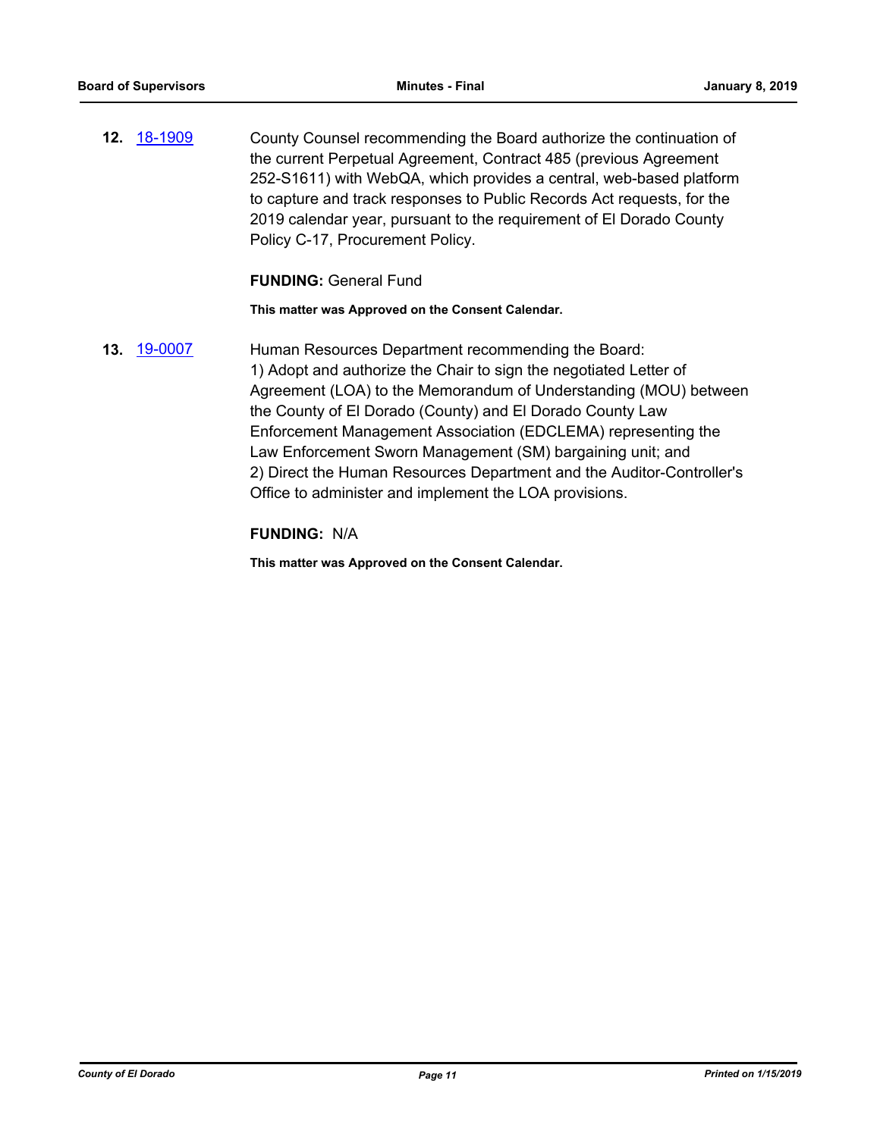**12.** [18-1909](http://eldorado.legistar.com/gateway.aspx?m=l&id=/matter.aspx?key=25259) County Counsel recommending the Board authorize the continuation of the current Perpetual Agreement, Contract 485 (previous Agreement 252-S1611) with WebQA, which provides a central, web-based platform to capture and track responses to Public Records Act requests, for the 2019 calendar year, pursuant to the requirement of El Dorado County Policy C-17, Procurement Policy.

#### **FUNDING:** General Fund

**This matter was Approved on the Consent Calendar.**

**13.** [19-0007](http://eldorado.legistar.com/gateway.aspx?m=l&id=/matter.aspx?key=25328) Human Resources Department recommending the Board: 1) Adopt and authorize the Chair to sign the negotiated Letter of Agreement (LOA) to the Memorandum of Understanding (MOU) between the County of El Dorado (County) and El Dorado County Law Enforcement Management Association (EDCLEMA) representing the Law Enforcement Sworn Management (SM) bargaining unit; and 2) Direct the Human Resources Department and the Auditor-Controller's Office to administer and implement the LOA provisions.

#### **FUNDING:** N/A

**This matter was Approved on the Consent Calendar.**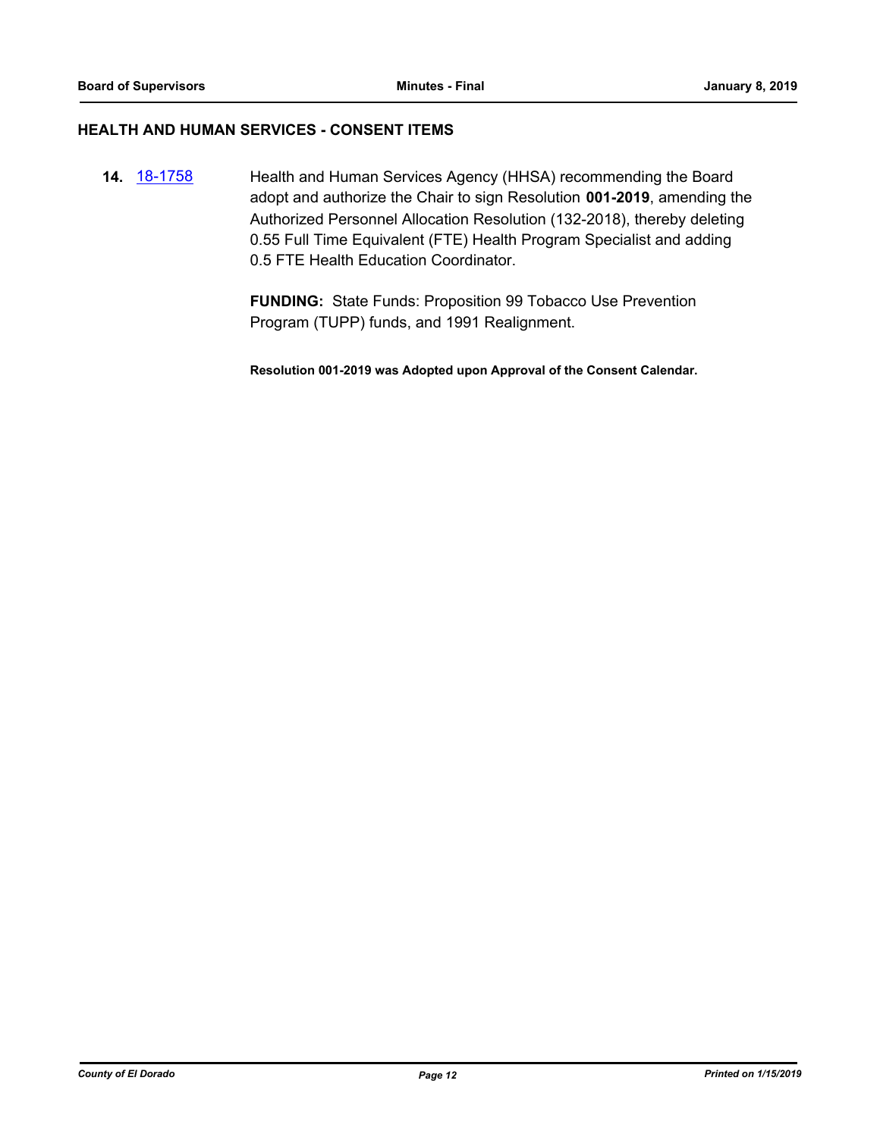#### **HEALTH AND HUMAN SERVICES - CONSENT ITEMS**

**14.** [18-1758](http://eldorado.legistar.com/gateway.aspx?m=l&id=/matter.aspx?key=25109) Health and Human Services Agency (HHSA) recommending the Board adopt and authorize the Chair to sign Resolution **001-2019**, amending the Authorized Personnel Allocation Resolution (132-2018), thereby deleting 0.55 Full Time Equivalent (FTE) Health Program Specialist and adding 0.5 FTE Health Education Coordinator.

> **FUNDING:** State Funds: Proposition 99 Tobacco Use Prevention Program (TUPP) funds, and 1991 Realignment.

> **Resolution 001-2019 was Adopted upon Approval of the Consent Calendar.**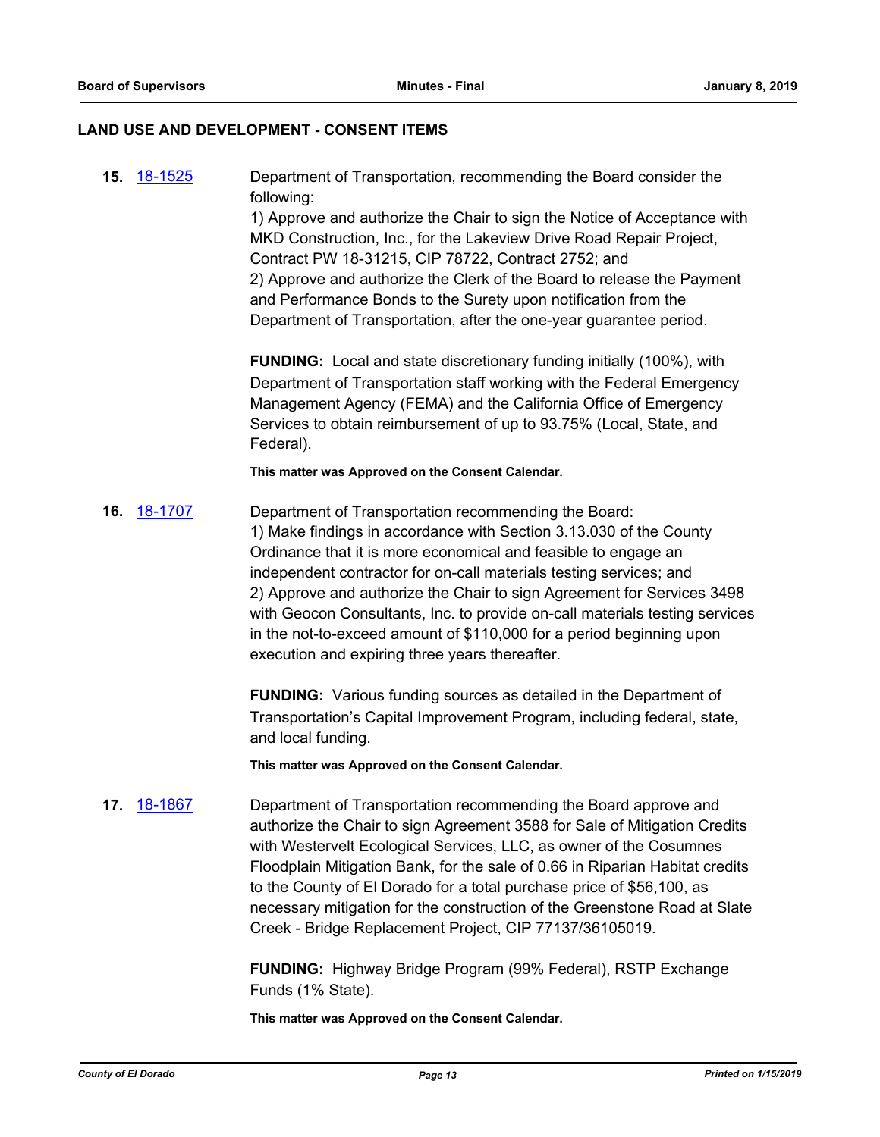#### **LAND USE AND DEVELOPMENT - CONSENT ITEMS**

**15.** [18-1525](http://eldorado.legistar.com/gateway.aspx?m=l&id=/matter.aspx?key=24876) Department of Transportation, recommending the Board consider the following:

> 1) Approve and authorize the Chair to sign the Notice of Acceptance with MKD Construction, Inc., for the Lakeview Drive Road Repair Project, Contract PW 18-31215, CIP 78722, Contract 2752; and 2) Approve and authorize the Clerk of the Board to release the Payment and Performance Bonds to the Surety upon notification from the Department of Transportation, after the one-year guarantee period.

**FUNDING:** Local and state discretionary funding initially (100%), with Department of Transportation staff working with the Federal Emergency Management Agency (FEMA) and the California Office of Emergency Services to obtain reimbursement of up to 93.75% (Local, State, and Federal).

**This matter was Approved on the Consent Calendar.**

**16.** [18-1707](http://eldorado.legistar.com/gateway.aspx?m=l&id=/matter.aspx?key=25058) Department of Transportation recommending the Board: 1) Make findings in accordance with Section 3.13.030 of the County Ordinance that it is more economical and feasible to engage an independent contractor for on-call materials testing services; and 2) Approve and authorize the Chair to sign Agreement for Services 3498 with Geocon Consultants, Inc. to provide on-call materials testing services in the not-to-exceed amount of \$110,000 for a period beginning upon execution and expiring three years thereafter.

> **FUNDING:** Various funding sources as detailed in the Department of Transportation's Capital Improvement Program, including federal, state, and local funding.

**This matter was Approved on the Consent Calendar.**

**17.** [18-1867](http://eldorado.legistar.com/gateway.aspx?m=l&id=/matter.aspx?key=25217) Department of Transportation recommending the Board approve and authorize the Chair to sign Agreement 3588 for Sale of Mitigation Credits with Westervelt Ecological Services, LLC, as owner of the Cosumnes Floodplain Mitigation Bank, for the sale of 0.66 in Riparian Habitat credits to the County of El Dorado for a total purchase price of \$56,100, as necessary mitigation for the construction of the Greenstone Road at Slate Creek - Bridge Replacement Project, CIP 77137/36105019.

> **FUNDING:** Highway Bridge Program (99% Federal), RSTP Exchange Funds (1% State).

**This matter was Approved on the Consent Calendar.**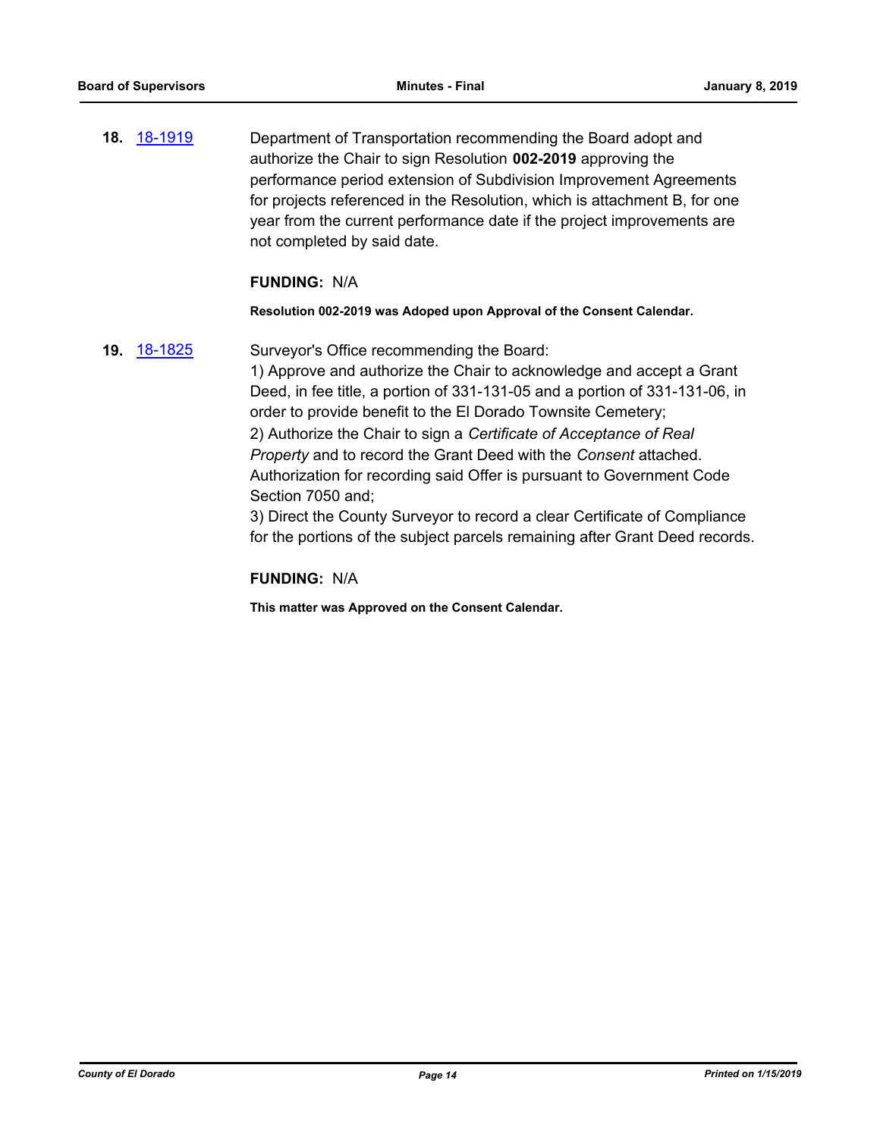**18.** [18-1919](http://eldorado.legistar.com/gateway.aspx?m=l&id=/matter.aspx?key=25269) Department of Transportation recommending the Board adopt and authorize the Chair to sign Resolution **002-2019** approving the performance period extension of Subdivision Improvement Agreements for projects referenced in the Resolution, which is attachment B, for one year from the current performance date if the project improvements are not completed by said date.

#### **FUNDING:** N/A

#### **Resolution 002-2019 was Adoped upon Approval of the Consent Calendar.**

**19.** [18-1825](http://eldorado.legistar.com/gateway.aspx?m=l&id=/matter.aspx?key=25176) Surveyor's Office recommending the Board:

1) Approve and authorize the Chair to acknowledge and accept a Grant Deed, in fee title, a portion of 331-131-05 and a portion of 331-131-06, in order to provide benefit to the El Dorado Townsite Cemetery; 2) Authorize the Chair to sign a *Certificate of Acceptance of Real Property* and to record the Grant Deed with the *Consent* attached. Authorization for recording said Offer is pursuant to Government Code Section 7050 and;

3) Direct the County Surveyor to record a clear Certificate of Compliance for the portions of the subject parcels remaining after Grant Deed records.

#### **FUNDING:** N/A

**This matter was Approved on the Consent Calendar.**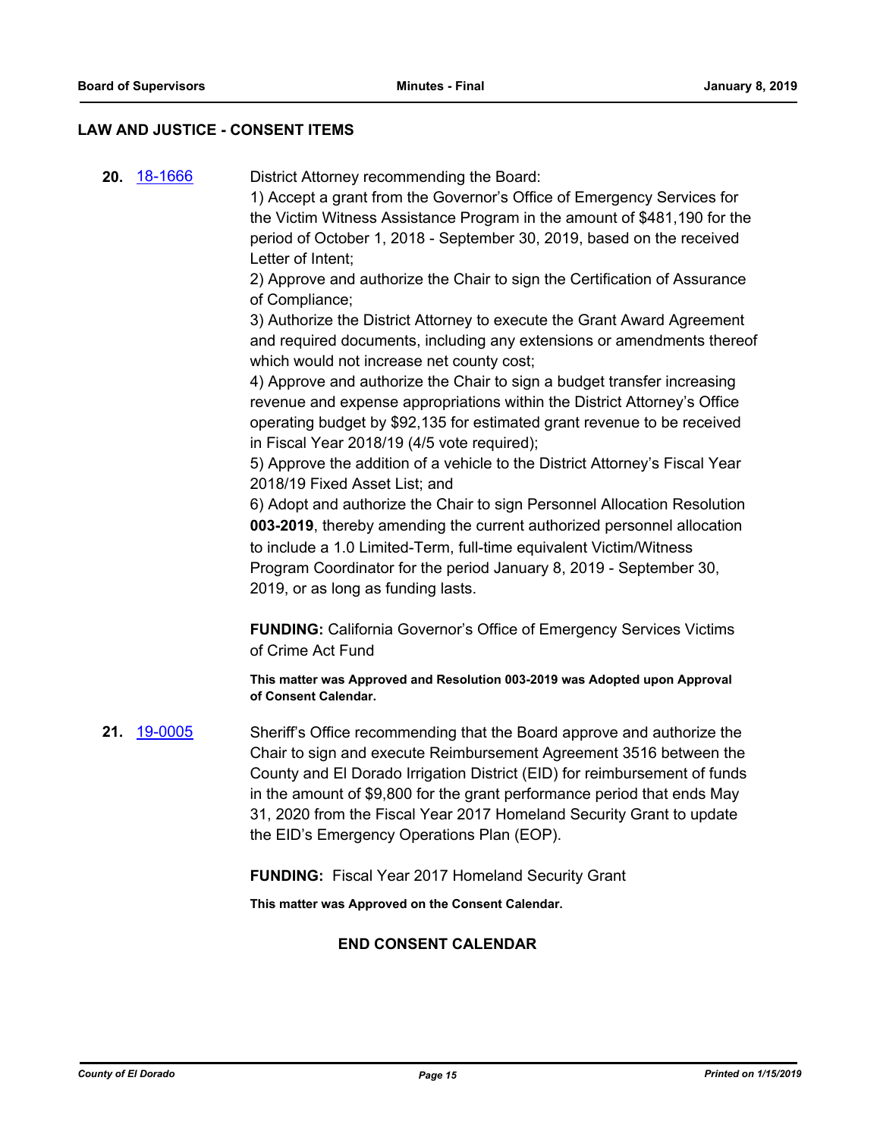#### **LAW AND JUSTICE - CONSENT ITEMS**

**20.** [18-1666](http://eldorado.legistar.com/gateway.aspx?m=l&id=/matter.aspx?key=25017) District Attorney recommending the Board:

1) Accept a grant from the Governor's Office of Emergency Services for the Victim Witness Assistance Program in the amount of \$481,190 for the period of October 1, 2018 - September 30, 2019, based on the received Letter of Intent;

2) Approve and authorize the Chair to sign the Certification of Assurance of Compliance;

3) Authorize the District Attorney to execute the Grant Award Agreement and required documents, including any extensions or amendments thereof which would not increase net county cost;

4) Approve and authorize the Chair to sign a budget transfer increasing revenue and expense appropriations within the District Attorney's Office operating budget by \$92,135 for estimated grant revenue to be received in Fiscal Year 2018/19 (4/5 vote required);

5) Approve the addition of a vehicle to the District Attorney's Fiscal Year 2018/19 Fixed Asset List; and

6) Adopt and authorize the Chair to sign Personnel Allocation Resolution **003-2019**, thereby amending the current authorized personnel allocation to include a 1.0 Limited-Term, full-time equivalent Victim/Witness Program Coordinator for the period January 8, 2019 - September 30, 2019, or as long as funding lasts.

**FUNDING:** California Governor's Office of Emergency Services Victims of Crime Act Fund

**This matter was Approved and Resolution 003-2019 was Adopted upon Approval of Consent Calendar.**

**21.** [19-0005](http://eldorado.legistar.com/gateway.aspx?m=l&id=/matter.aspx?key=25326) Sheriff's Office recommending that the Board approve and authorize the Chair to sign and execute Reimbursement Agreement 3516 between the County and El Dorado Irrigation District (EID) for reimbursement of funds in the amount of \$9,800 for the grant performance period that ends May 31, 2020 from the Fiscal Year 2017 Homeland Security Grant to update the EID's Emergency Operations Plan (EOP).

**FUNDING:** Fiscal Year 2017 Homeland Security Grant

**This matter was Approved on the Consent Calendar.**

## **END CONSENT CALENDAR**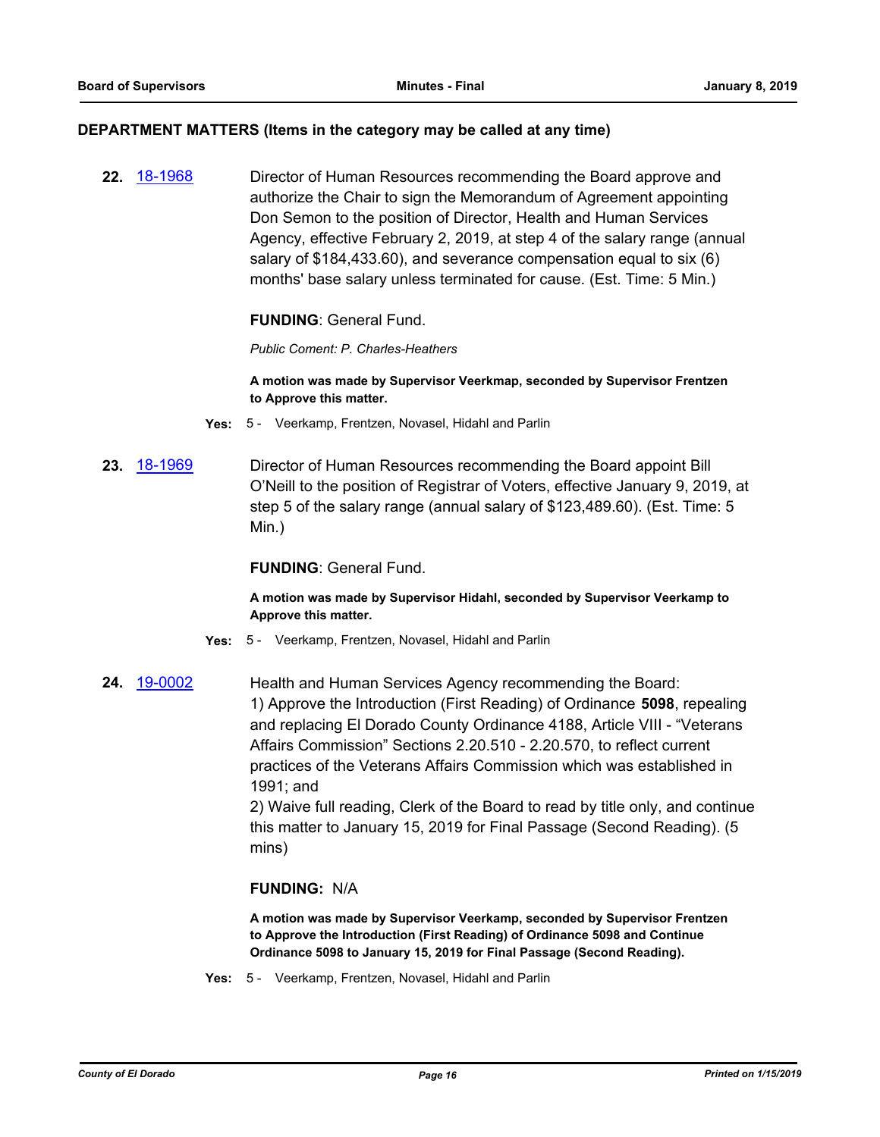#### **DEPARTMENT MATTERS (Items in the category may be called at any time)**

**22.** [18-1968](http://eldorado.legistar.com/gateway.aspx?m=l&id=/matter.aspx?key=25318) Director of Human Resources recommending the Board approve and authorize the Chair to sign the Memorandum of Agreement appointing Don Semon to the position of Director, Health and Human Services Agency, effective February 2, 2019, at step 4 of the salary range (annual salary of \$184,433.60), and severance compensation equal to six (6) months' base salary unless terminated for cause. (Est. Time: 5 Min.)

## **FUNDING**: General Fund.

*Public Coment: P. Charles-Heathers*

#### **A motion was made by Supervisor Veerkmap, seconded by Supervisor Frentzen to Approve this matter.**

- **Yes:** 5 Veerkamp, Frentzen, Novasel, Hidahl and Parlin
- **23.** [18-1969](http://eldorado.legistar.com/gateway.aspx?m=l&id=/matter.aspx?key=25319) Director of Human Resources recommending the Board appoint Bill O'Neill to the position of Registrar of Voters, effective January 9, 2019, at step 5 of the salary range (annual salary of \$123,489.60). (Est. Time: 5 Min.)

## **FUNDING**: General Fund.

**A motion was made by Supervisor Hidahl, seconded by Supervisor Veerkamp to Approve this matter.**

- **Yes:** 5 Veerkamp, Frentzen, Novasel, Hidahl and Parlin
- **24.** [19-0002](http://eldorado.legistar.com/gateway.aspx?m=l&id=/matter.aspx?key=25323) Health and Human Services Agency recommending the Board: 1) Approve the Introduction (First Reading) of Ordinance **5098**, repealing and replacing El Dorado County Ordinance 4188, Article VIII - "Veterans Affairs Commission" Sections 2.20.510 - 2.20.570, to reflect current practices of the Veterans Affairs Commission which was established in 1991; and

2) Waive full reading, Clerk of the Board to read by title only, and continue this matter to January 15, 2019 for Final Passage (Second Reading). (5 mins)

## **FUNDING:** N/A

**A motion was made by Supervisor Veerkamp, seconded by Supervisor Frentzen to Approve the Introduction (First Reading) of Ordinance 5098 and Continue Ordinance 5098 to January 15, 2019 for Final Passage (Second Reading).**

**Yes:** 5 - Veerkamp, Frentzen, Novasel, Hidahl and Parlin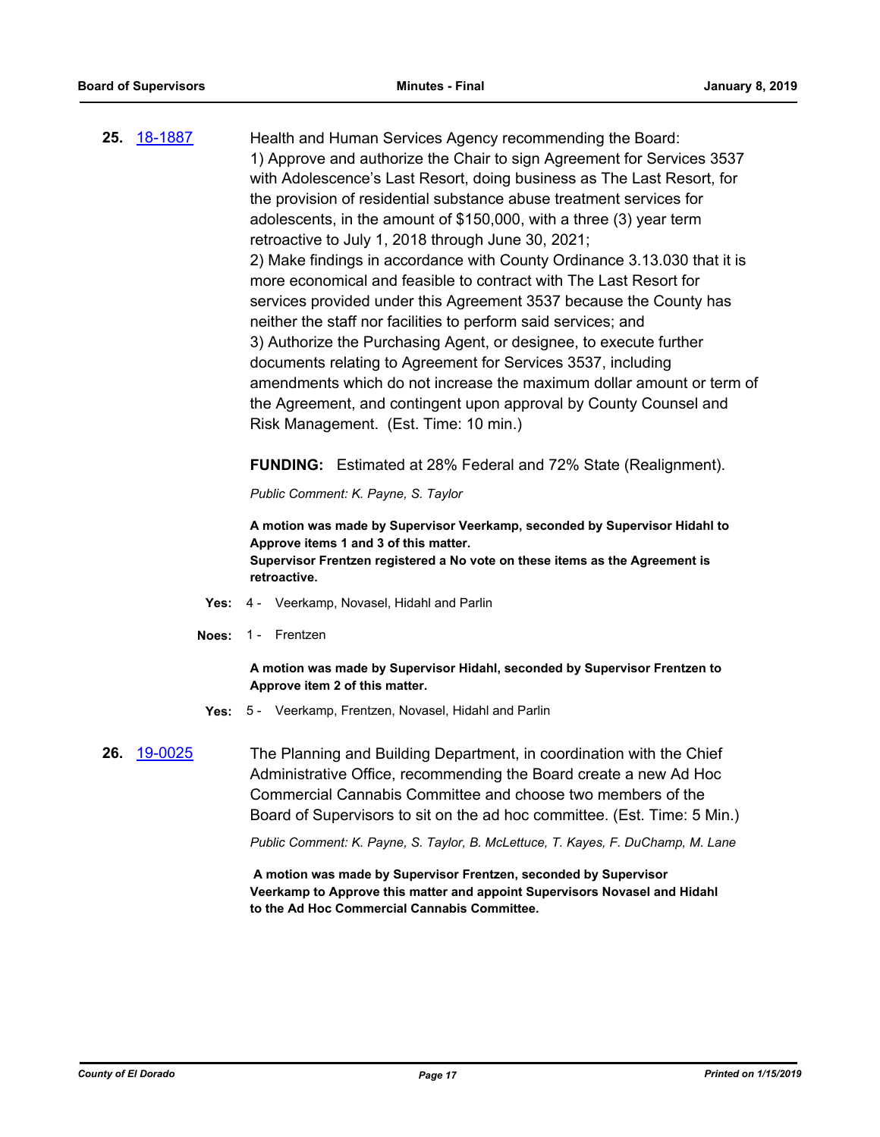**25.** [18-1887](http://eldorado.legistar.com/gateway.aspx?m=l&id=/matter.aspx?key=25237) Health and Human Services Agency recommending the Board: 1) Approve and authorize the Chair to sign Agreement for Services 3537 with Adolescence's Last Resort, doing business as The Last Resort, for the provision of residential substance abuse treatment services for adolescents, in the amount of \$150,000, with a three (3) year term retroactive to July 1, 2018 through June 30, 2021; 2) Make findings in accordance with County Ordinance 3.13.030 that it is more economical and feasible to contract with The Last Resort for services provided under this Agreement 3537 because the County has neither the staff nor facilities to perform said services; and 3) Authorize the Purchasing Agent, or designee, to execute further documents relating to Agreement for Services 3537, including amendments which do not increase the maximum dollar amount or term of the Agreement, and contingent upon approval by County Counsel and Risk Management. (Est. Time: 10 min.)

**FUNDING:** Estimated at 28% Federal and 72% State (Realignment).

*Public Comment: K. Payne, S. Taylor*

**A motion was made by Supervisor Veerkamp, seconded by Supervisor Hidahl to Approve items 1 and 3 of this matter. Supervisor Frentzen registered a No vote on these items as the Agreement is retroactive.**

- **Yes:** 4 Veerkamp, Novasel, Hidahl and Parlin
- **Noes:** 1 Frentzen

**A motion was made by Supervisor Hidahl, seconded by Supervisor Frentzen to Approve item 2 of this matter.**

- **Yes:** 5 Veerkamp, Frentzen, Novasel, Hidahl and Parlin
- **26.** [19-0025](http://eldorado.legistar.com/gateway.aspx?m=l&id=/matter.aspx?key=25346) The Planning and Building Department, in coordination with the Chief Administrative Office, recommending the Board create a new Ad Hoc Commercial Cannabis Committee and choose two members of the Board of Supervisors to sit on the ad hoc committee. (Est. Time: 5 Min.)

*Public Comment: K. Payne, S. Taylor, B. McLettuce, T. Kayes, F. DuChamp, M. Lane*

 **A motion was made by Supervisor Frentzen, seconded by Supervisor Veerkamp to Approve this matter and appoint Supervisors Novasel and Hidahl to the Ad Hoc Commercial Cannabis Committee.**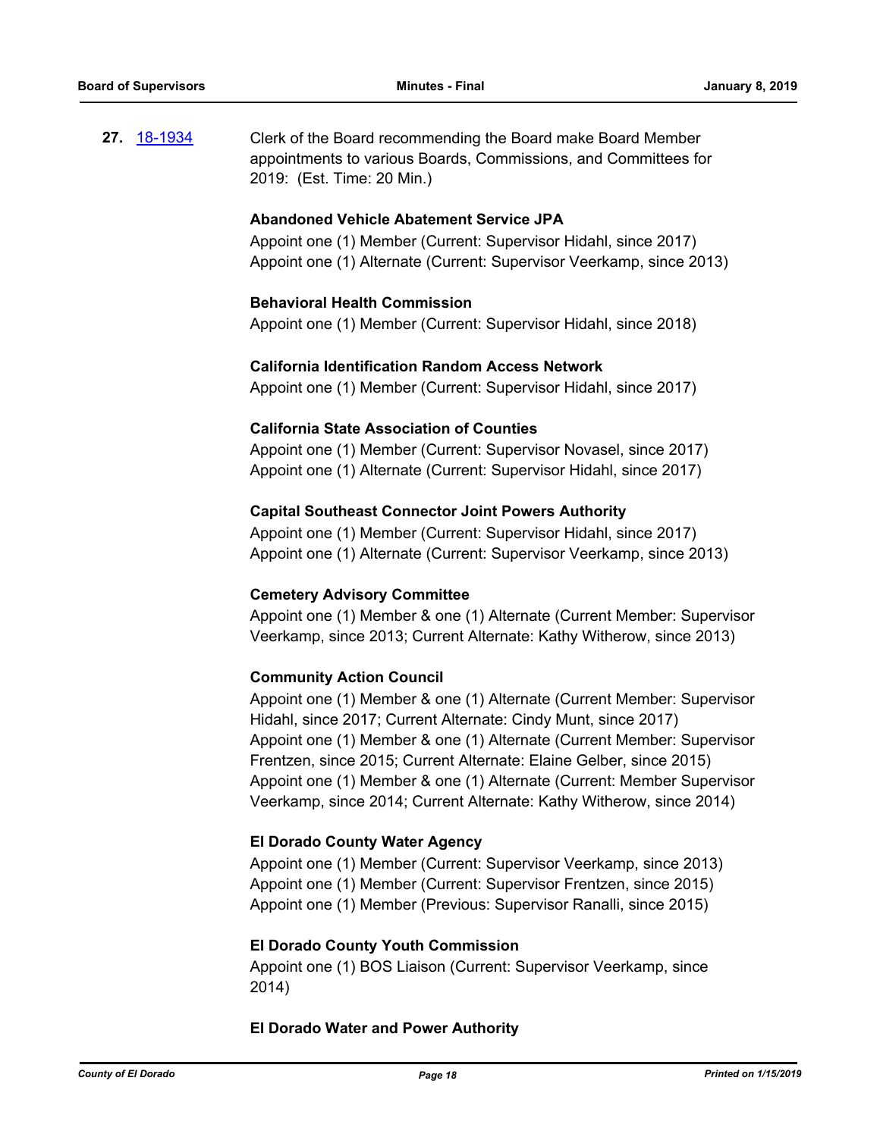**27.** [18-1934](http://eldorado.legistar.com/gateway.aspx?m=l&id=/matter.aspx?key=25284) Clerk of the Board recommending the Board make Board Member appointments to various Boards, Commissions, and Committees for 2019: (Est. Time: 20 Min.)

#### **Abandoned Vehicle Abatement Service JPA**

Appoint one (1) Member (Current: Supervisor Hidahl, since 2017) Appoint one (1) Alternate (Current: Supervisor Veerkamp, since 2013)

#### **Behavioral Health Commission**

Appoint one (1) Member (Current: Supervisor Hidahl, since 2018)

#### **California Identification Random Access Network**

Appoint one (1) Member (Current: Supervisor Hidahl, since 2017)

#### **California State Association of Counties**

Appoint one (1) Member (Current: Supervisor Novasel, since 2017) Appoint one (1) Alternate (Current: Supervisor Hidahl, since 2017)

#### **Capital Southeast Connector Joint Powers Authority**

Appoint one (1) Member (Current: Supervisor Hidahl, since 2017) Appoint one (1) Alternate (Current: Supervisor Veerkamp, since 2013)

#### **Cemetery Advisory Committee**

Appoint one (1) Member & one (1) Alternate (Current Member: Supervisor Veerkamp, since 2013; Current Alternate: Kathy Witherow, since 2013)

#### **Community Action Council**

Appoint one (1) Member & one (1) Alternate (Current Member: Supervisor Hidahl, since 2017; Current Alternate: Cindy Munt, since 2017) Appoint one (1) Member & one (1) Alternate (Current Member: Supervisor Frentzen, since 2015; Current Alternate: Elaine Gelber, since 2015) Appoint one (1) Member & one (1) Alternate (Current: Member Supervisor Veerkamp, since 2014; Current Alternate: Kathy Witherow, since 2014)

#### **El Dorado County Water Agency**

Appoint one (1) Member (Current: Supervisor Veerkamp, since 2013) Appoint one (1) Member (Current: Supervisor Frentzen, since 2015) Appoint one (1) Member (Previous: Supervisor Ranalli, since 2015)

#### **El Dorado County Youth Commission**

Appoint one (1) BOS Liaison (Current: Supervisor Veerkamp, since 2014)

#### **El Dorado Water and Power Authority**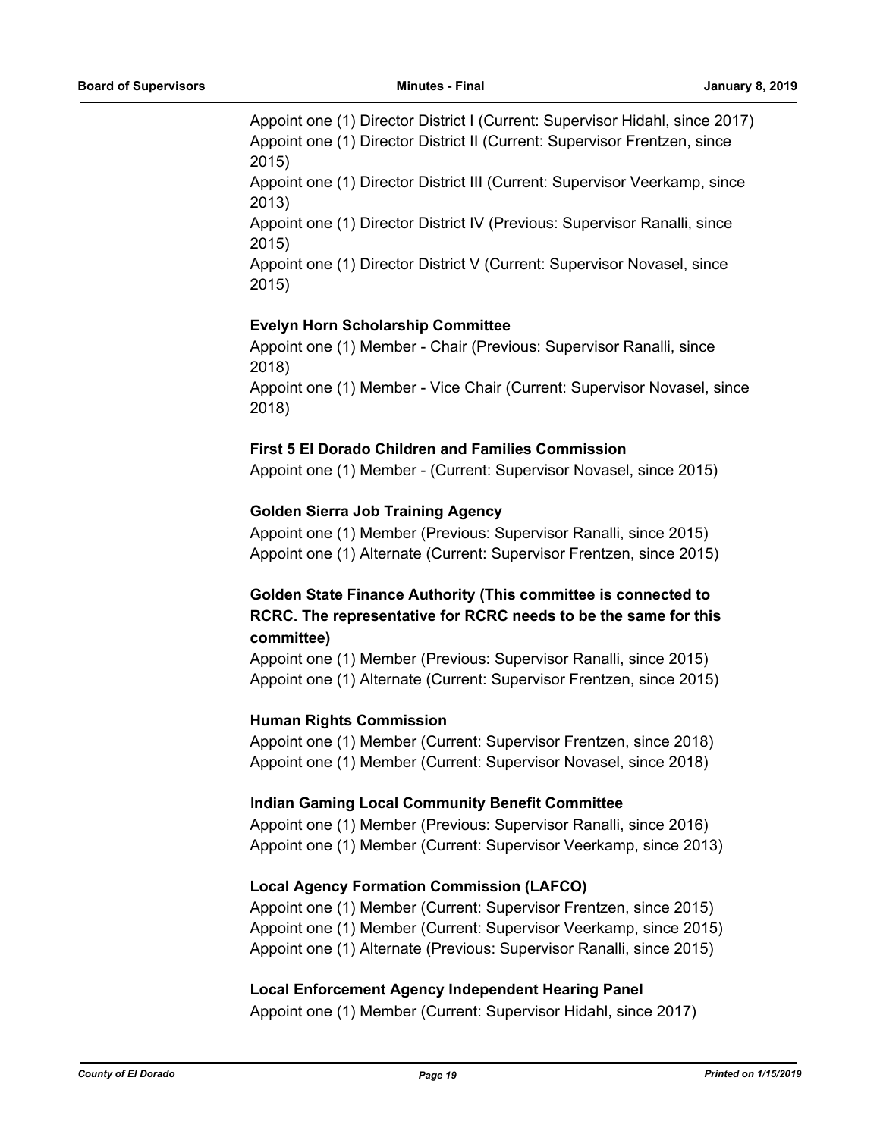Appoint one (1) Director District I (Current: Supervisor Hidahl, since 2017) Appoint one (1) Director District II (Current: Supervisor Frentzen, since 2015)

Appoint one (1) Director District III (Current: Supervisor Veerkamp, since 2013)

Appoint one (1) Director District IV (Previous: Supervisor Ranalli, since 2015)

Appoint one (1) Director District V (Current: Supervisor Novasel, since 2015)

## **Evelyn Horn Scholarship Committee**

Appoint one (1) Member - Chair (Previous: Supervisor Ranalli, since 2018)

Appoint one (1) Member - Vice Chair (Current: Supervisor Novasel, since 2018)

## **First 5 El Dorado Children and Families Commission**

Appoint one (1) Member - (Current: Supervisor Novasel, since 2015)

## **Golden Sierra Job Training Agency**

Appoint one (1) Member (Previous: Supervisor Ranalli, since 2015) Appoint one (1) Alternate (Current: Supervisor Frentzen, since 2015)

## **Golden State Finance Authority (This committee is connected to RCRC. The representative for RCRC needs to be the same for this committee)**

Appoint one (1) Member (Previous: Supervisor Ranalli, since 2015) Appoint one (1) Alternate (Current: Supervisor Frentzen, since 2015)

## **Human Rights Commission**

Appoint one (1) Member (Current: Supervisor Frentzen, since 2018) Appoint one (1) Member (Current: Supervisor Novasel, since 2018)

## I**ndian Gaming Local Community Benefit Committee**

Appoint one (1) Member (Previous: Supervisor Ranalli, since 2016) Appoint one (1) Member (Current: Supervisor Veerkamp, since 2013)

## **Local Agency Formation Commission (LAFCO)**

Appoint one (1) Member (Current: Supervisor Frentzen, since 2015) Appoint one (1) Member (Current: Supervisor Veerkamp, since 2015) Appoint one (1) Alternate (Previous: Supervisor Ranalli, since 2015)

## **Local Enforcement Agency Independent Hearing Panel**

Appoint one (1) Member (Current: Supervisor Hidahl, since 2017)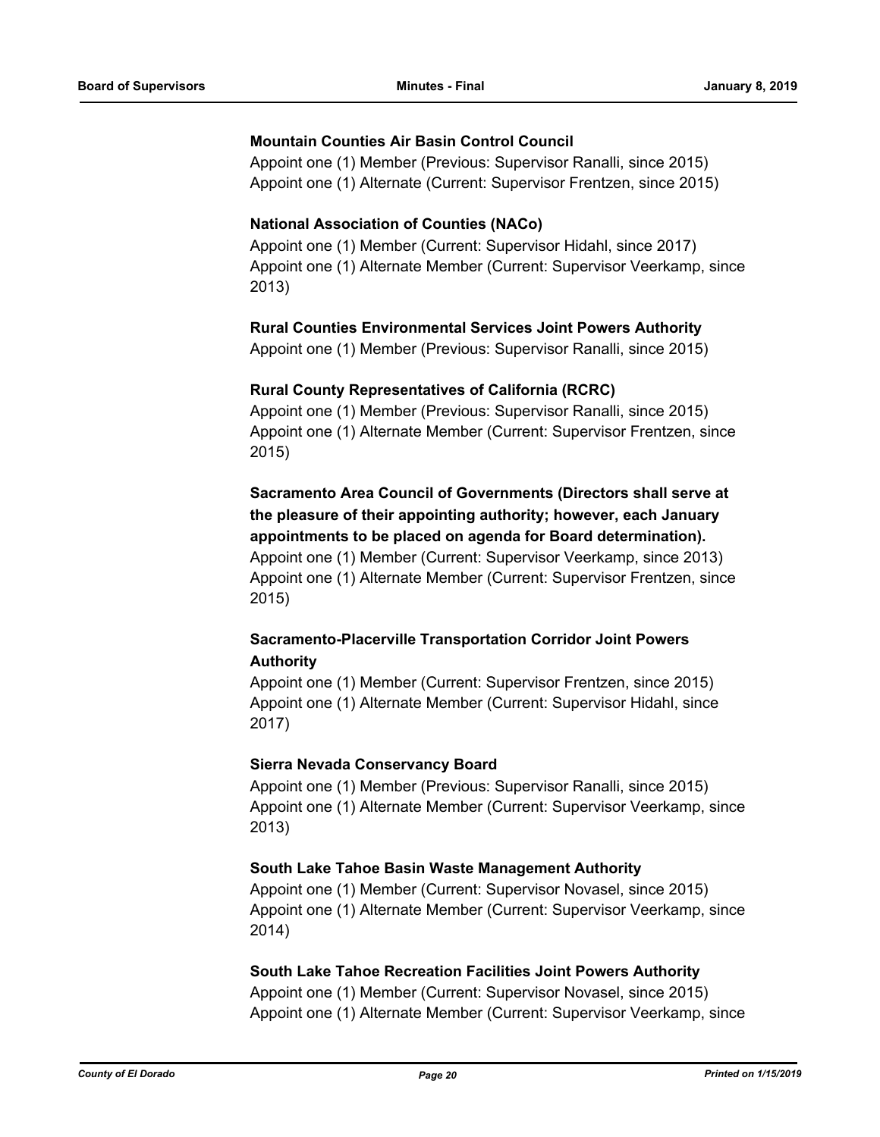## **Mountain Counties Air Basin Control Council**

Appoint one (1) Member (Previous: Supervisor Ranalli, since 2015) Appoint one (1) Alternate (Current: Supervisor Frentzen, since 2015)

## **National Association of Counties (NACo)**

Appoint one (1) Member (Current: Supervisor Hidahl, since 2017) Appoint one (1) Alternate Member (Current: Supervisor Veerkamp, since 2013)

#### **Rural Counties Environmental Services Joint Powers Authority**

Appoint one (1) Member (Previous: Supervisor Ranalli, since 2015)

#### **Rural County Representatives of California (RCRC)**

Appoint one (1) Member (Previous: Supervisor Ranalli, since 2015) Appoint one (1) Alternate Member (Current: Supervisor Frentzen, since 2015)

**Sacramento Area Council of Governments (Directors shall serve at the pleasure of their appointing authority; however, each January appointments to be placed on agenda for Board determination).**  Appoint one (1) Member (Current: Supervisor Veerkamp, since 2013) Appoint one (1) Alternate Member (Current: Supervisor Frentzen, since

2015)

## **Sacramento-Placerville Transportation Corridor Joint Powers Authority**

Appoint one (1) Member (Current: Supervisor Frentzen, since 2015) Appoint one (1) Alternate Member (Current: Supervisor Hidahl, since 2017)

#### **Sierra Nevada Conservancy Board**

Appoint one (1) Member (Previous: Supervisor Ranalli, since 2015) Appoint one (1) Alternate Member (Current: Supervisor Veerkamp, since 2013)

## **South Lake Tahoe Basin Waste Management Authority**

Appoint one (1) Member (Current: Supervisor Novasel, since 2015) Appoint one (1) Alternate Member (Current: Supervisor Veerkamp, since 2014)

## **South Lake Tahoe Recreation Facilities Joint Powers Authority**

Appoint one (1) Member (Current: Supervisor Novasel, since 2015) Appoint one (1) Alternate Member (Current: Supervisor Veerkamp, since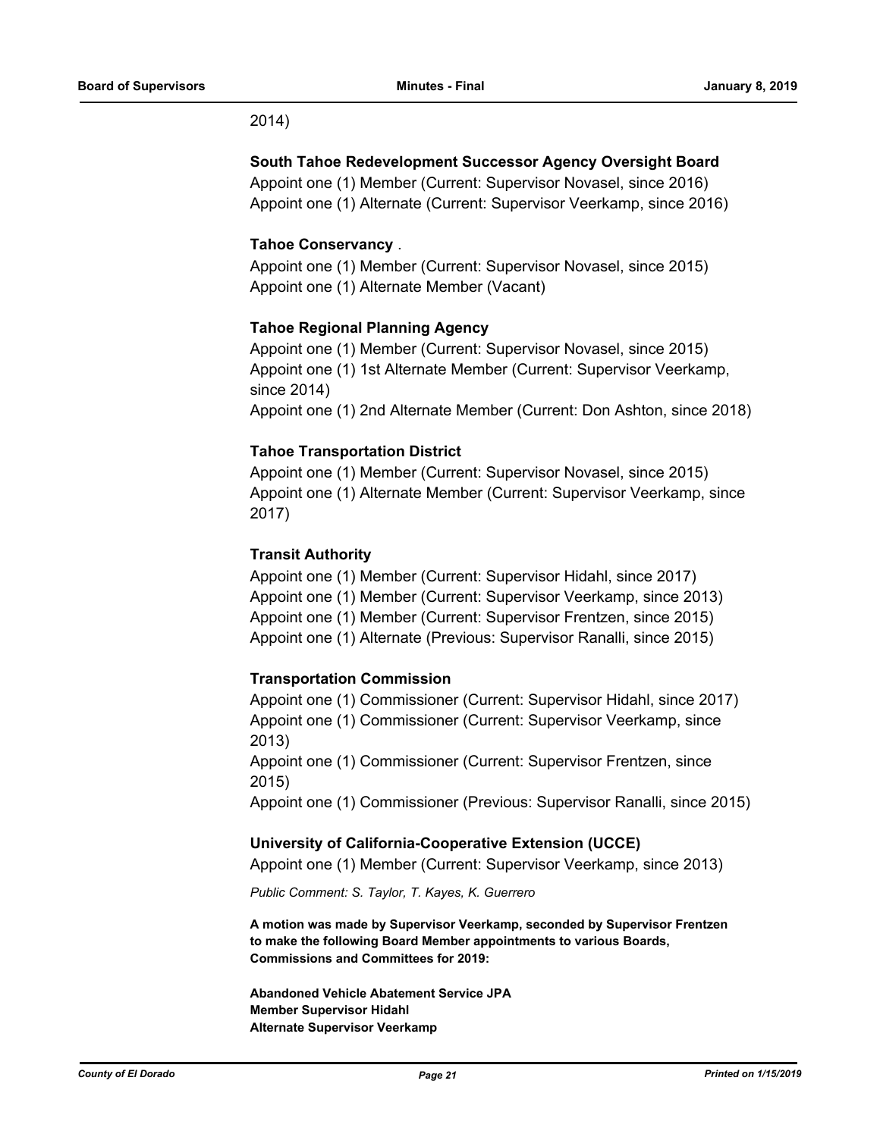#### 2014)

#### **South Tahoe Redevelopment Successor Agency Oversight Board**

Appoint one (1) Member (Current: Supervisor Novasel, since 2016) Appoint one (1) Alternate (Current: Supervisor Veerkamp, since 2016)

#### **Tahoe Conservancy** .

Appoint one (1) Member (Current: Supervisor Novasel, since 2015) Appoint one (1) Alternate Member (Vacant)

#### **Tahoe Regional Planning Agency**

Appoint one (1) Member (Current: Supervisor Novasel, since 2015) Appoint one (1) 1st Alternate Member (Current: Supervisor Veerkamp, since 2014) Appoint one (1) 2nd Alternate Member (Current: Don Ashton, since 2018)

#### **Tahoe Transportation District**

Appoint one (1) Member (Current: Supervisor Novasel, since 2015) Appoint one (1) Alternate Member (Current: Supervisor Veerkamp, since 2017)

#### **Transit Authority**

Appoint one (1) Member (Current: Supervisor Hidahl, since 2017) Appoint one (1) Member (Current: Supervisor Veerkamp, since 2013) Appoint one (1) Member (Current: Supervisor Frentzen, since 2015) Appoint one (1) Alternate (Previous: Supervisor Ranalli, since 2015)

## **Transportation Commission**

Appoint one (1) Commissioner (Current: Supervisor Hidahl, since 2017) Appoint one (1) Commissioner (Current: Supervisor Veerkamp, since 2013)

Appoint one (1) Commissioner (Current: Supervisor Frentzen, since 2015)

Appoint one (1) Commissioner (Previous: Supervisor Ranalli, since 2015)

#### **University of California-Cooperative Extension (UCCE)**

Appoint one (1) Member (Current: Supervisor Veerkamp, since 2013)

*Public Comment: S. Taylor, T. Kayes, K. Guerrero*

**A motion was made by Supervisor Veerkamp, seconded by Supervisor Frentzen to make the following Board Member appointments to various Boards, Commissions and Committees for 2019:**

**Abandoned Vehicle Abatement Service JPA Member Supervisor Hidahl Alternate Supervisor Veerkamp**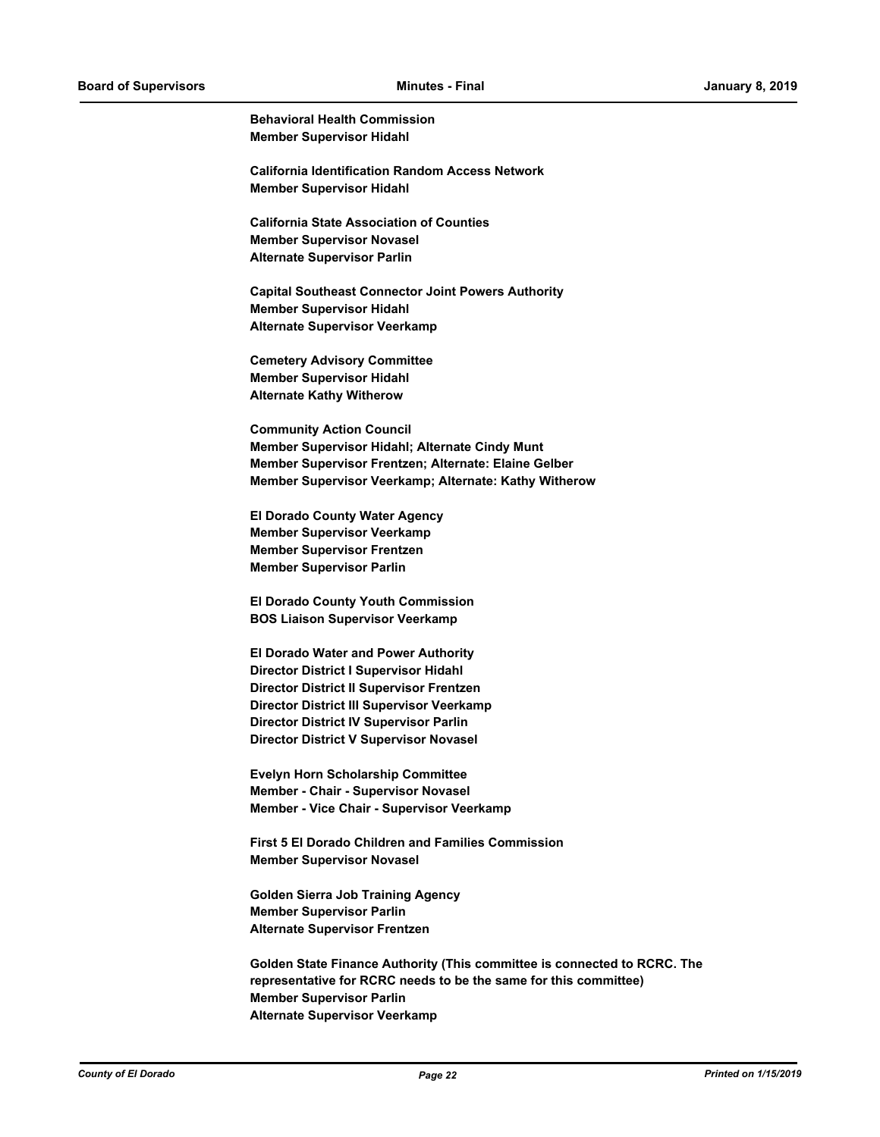**Behavioral Health Commission Member Supervisor Hidahl**

**California Identification Random Access Network Member Supervisor Hidahl**

**California State Association of Counties Member Supervisor Novasel Alternate Supervisor Parlin**

**Capital Southeast Connector Joint Powers Authority Member Supervisor Hidahl Alternate Supervisor Veerkamp**

**Cemetery Advisory Committee Member Supervisor Hidahl Alternate Kathy Witherow**

**Community Action Council Member Supervisor Hidahl; Alternate Cindy Munt Member Supervisor Frentzen; Alternate: Elaine Gelber Member Supervisor Veerkamp; Alternate: Kathy Witherow**

**El Dorado County Water Agency Member Supervisor Veerkamp Member Supervisor Frentzen Member Supervisor Parlin**

**El Dorado County Youth Commission BOS Liaison Supervisor Veerkamp**

**El Dorado Water and Power Authority Director District I Supervisor Hidahl Director District II Supervisor Frentzen Director District III Supervisor Veerkamp Director District IV Supervisor Parlin Director District V Supervisor Novasel**

**Evelyn Horn Scholarship Committee Member - Chair - Supervisor Novasel Member - Vice Chair - Supervisor Veerkamp**

**First 5 El Dorado Children and Families Commission Member Supervisor Novasel**

**Golden Sierra Job Training Agency Member Supervisor Parlin Alternate Supervisor Frentzen**

**Golden State Finance Authority (This committee is connected to RCRC. The representative for RCRC needs to be the same for this committee) Member Supervisor Parlin Alternate Supervisor Veerkamp**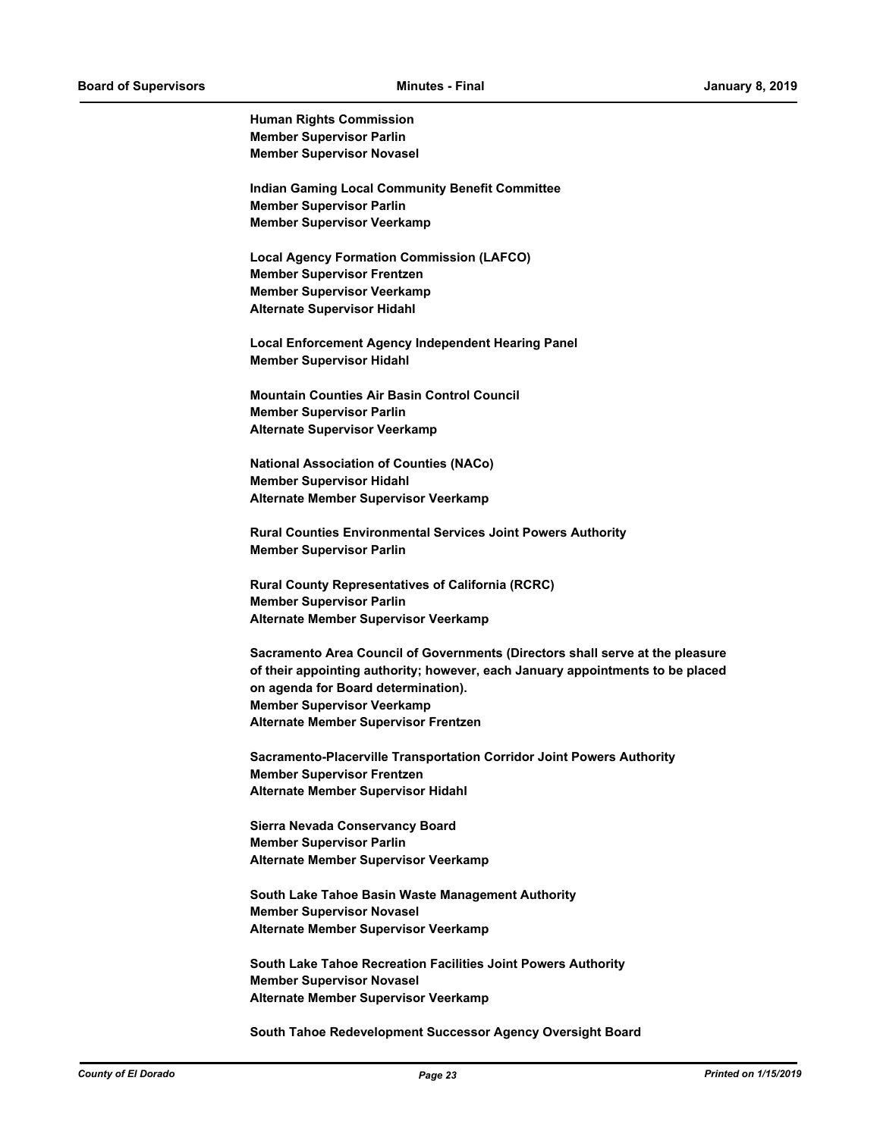**Human Rights Commission Member Supervisor Parlin Member Supervisor Novasel**

**Indian Gaming Local Community Benefit Committee Member Supervisor Parlin Member Supervisor Veerkamp**

**Local Agency Formation Commission (LAFCO) Member Supervisor Frentzen Member Supervisor Veerkamp Alternate Supervisor Hidahl**

**Local Enforcement Agency Independent Hearing Panel Member Supervisor Hidahl**

**Mountain Counties Air Basin Control Council Member Supervisor Parlin Alternate Supervisor Veerkamp**

**National Association of Counties (NACo) Member Supervisor Hidahl Alternate Member Supervisor Veerkamp**

**Rural Counties Environmental Services Joint Powers Authority Member Supervisor Parlin**

**Rural County Representatives of California (RCRC) Member Supervisor Parlin Alternate Member Supervisor Veerkamp**

**Sacramento Area Council of Governments (Directors shall serve at the pleasure of their appointing authority; however, each January appointments to be placed on agenda for Board determination). Member Supervisor Veerkamp Alternate Member Supervisor Frentzen**

**Sacramento-Placerville Transportation Corridor Joint Powers Authority Member Supervisor Frentzen Alternate Member Supervisor Hidahl**

**Sierra Nevada Conservancy Board Member Supervisor Parlin Alternate Member Supervisor Veerkamp**

**South Lake Tahoe Basin Waste Management Authority Member Supervisor Novasel Alternate Member Supervisor Veerkamp**

**South Lake Tahoe Recreation Facilities Joint Powers Authority Member Supervisor Novasel Alternate Member Supervisor Veerkamp**

**South Tahoe Redevelopment Successor Agency Oversight Board**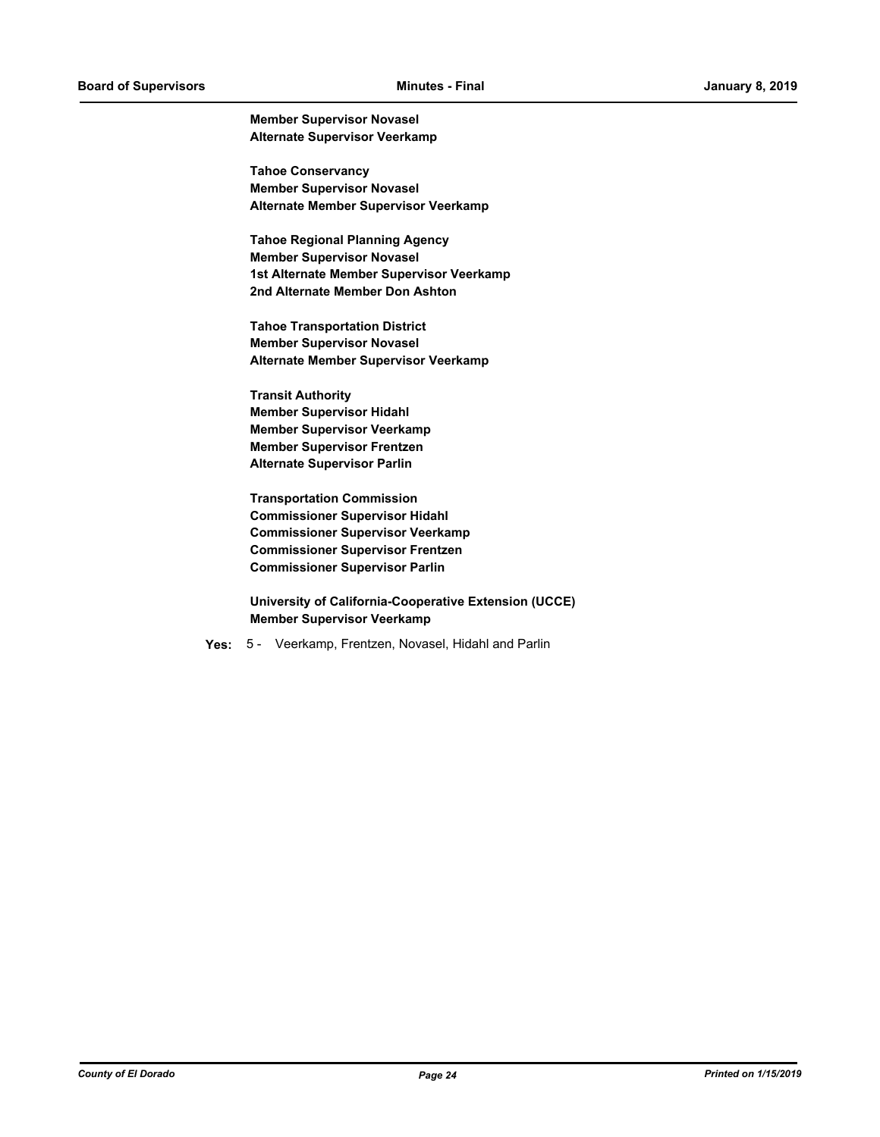**Member Supervisor Novasel Alternate Supervisor Veerkamp**

**Tahoe Conservancy Member Supervisor Novasel Alternate Member Supervisor Veerkamp**

**Tahoe Regional Planning Agency Member Supervisor Novasel 1st Alternate Member Supervisor Veerkamp 2nd Alternate Member Don Ashton**

**Tahoe Transportation District Member Supervisor Novasel Alternate Member Supervisor Veerkamp**

**Transit Authority Member Supervisor Hidahl Member Supervisor Veerkamp Member Supervisor Frentzen Alternate Supervisor Parlin**

**Transportation Commission Commissioner Supervisor Hidahl Commissioner Supervisor Veerkamp Commissioner Supervisor Frentzen Commissioner Supervisor Parlin**

**University of California-Cooperative Extension (UCCE) Member Supervisor Veerkamp**

**Yes:** 5 - Veerkamp, Frentzen, Novasel, Hidahl and Parlin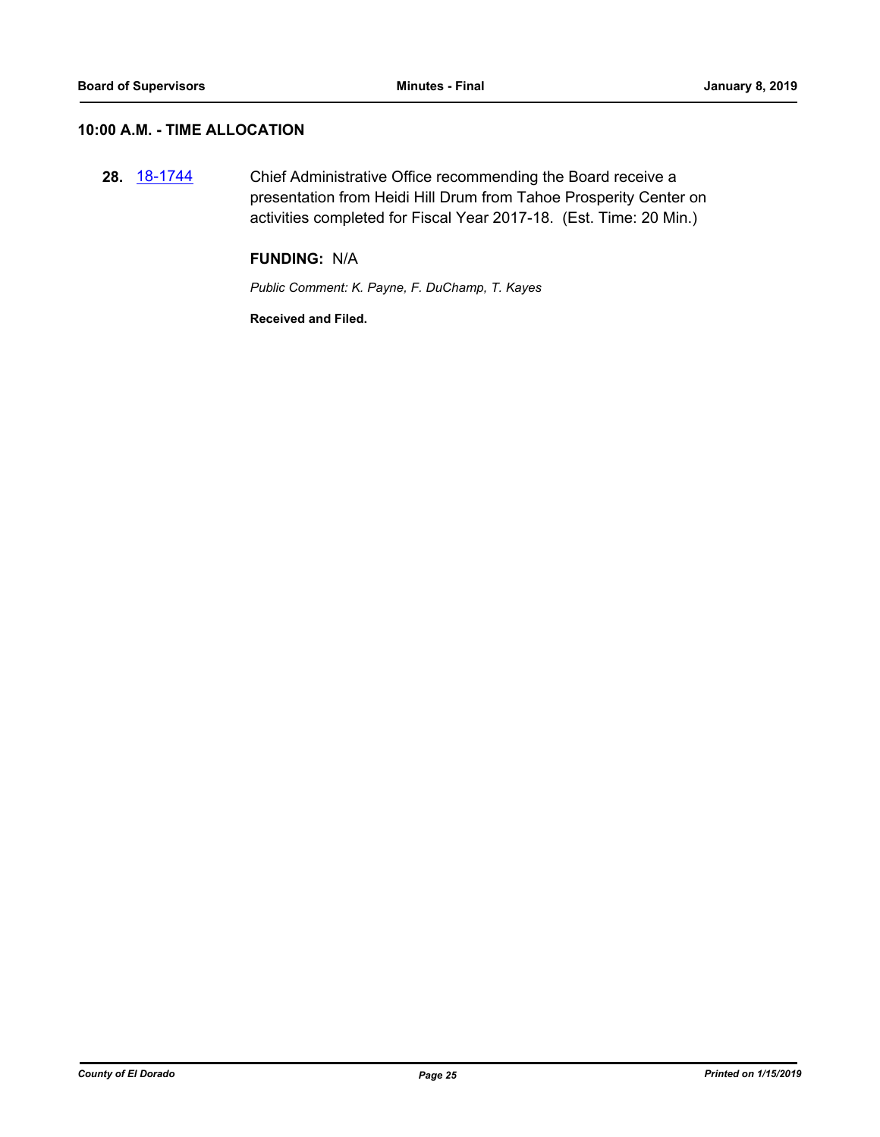## **10:00 A.M. - TIME ALLOCATION**

**28.** [18-1744](http://eldorado.legistar.com/gateway.aspx?m=l&id=/matter.aspx?key=25095) Chief Administrative Office recommending the Board receive a presentation from Heidi Hill Drum from Tahoe Prosperity Center on activities completed for Fiscal Year 2017-18. (Est. Time: 20 Min.)

#### **FUNDING:** N/A

*Public Comment: K. Payne, F. DuChamp, T. Kayes*

**Received and Filed.**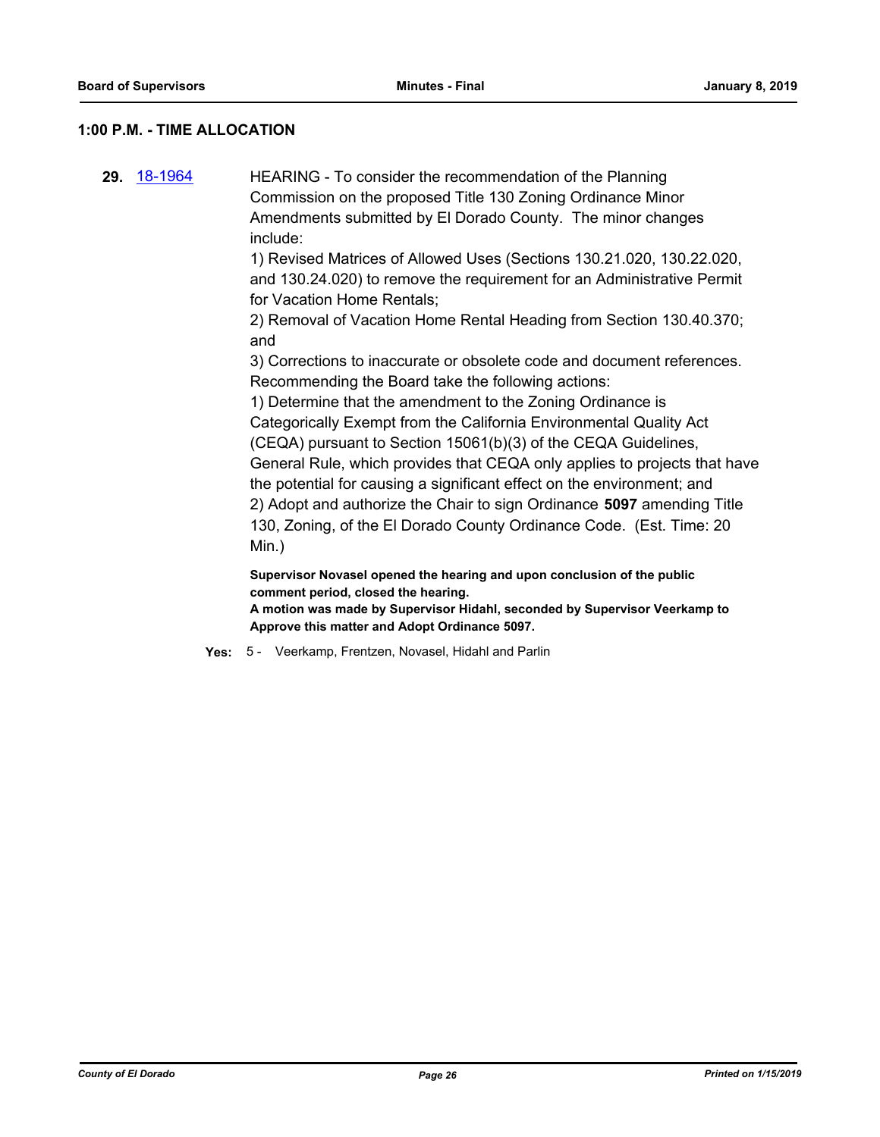#### **1:00 P.M. - TIME ALLOCATION**

**29.** [18-1964](http://eldorado.legistar.com/gateway.aspx?m=l&id=/matter.aspx?key=25314) HEARING - To consider the recommendation of the Planning Commission on the proposed Title 130 Zoning Ordinance Minor Amendments submitted by El Dorado County. The minor changes include:

1) Revised Matrices of Allowed Uses (Sections 130.21.020, 130.22.020, and 130.24.020) to remove the requirement for an Administrative Permit for Vacation Home Rentals;

2) Removal of Vacation Home Rental Heading from Section 130.40.370; and

3) Corrections to inaccurate or obsolete code and document references. Recommending the Board take the following actions:

1) Determine that the amendment to the Zoning Ordinance is Categorically Exempt from the California Environmental Quality Act (CEQA) pursuant to Section 15061(b)(3) of the CEQA Guidelines, General Rule, which provides that CEQA only applies to projects that have the potential for causing a significant effect on the environment; and 2) Adopt and authorize the Chair to sign Ordinance **5097** amending Title 130, Zoning, of the El Dorado County Ordinance Code. (Est. Time: 20 Min.)

**Supervisor Novasel opened the hearing and upon conclusion of the public comment period, closed the hearing.**

**A motion was made by Supervisor Hidahl, seconded by Supervisor Veerkamp to Approve this matter and Adopt Ordinance 5097.**

**Yes:** 5 - Veerkamp, Frentzen, Novasel, Hidahl and Parlin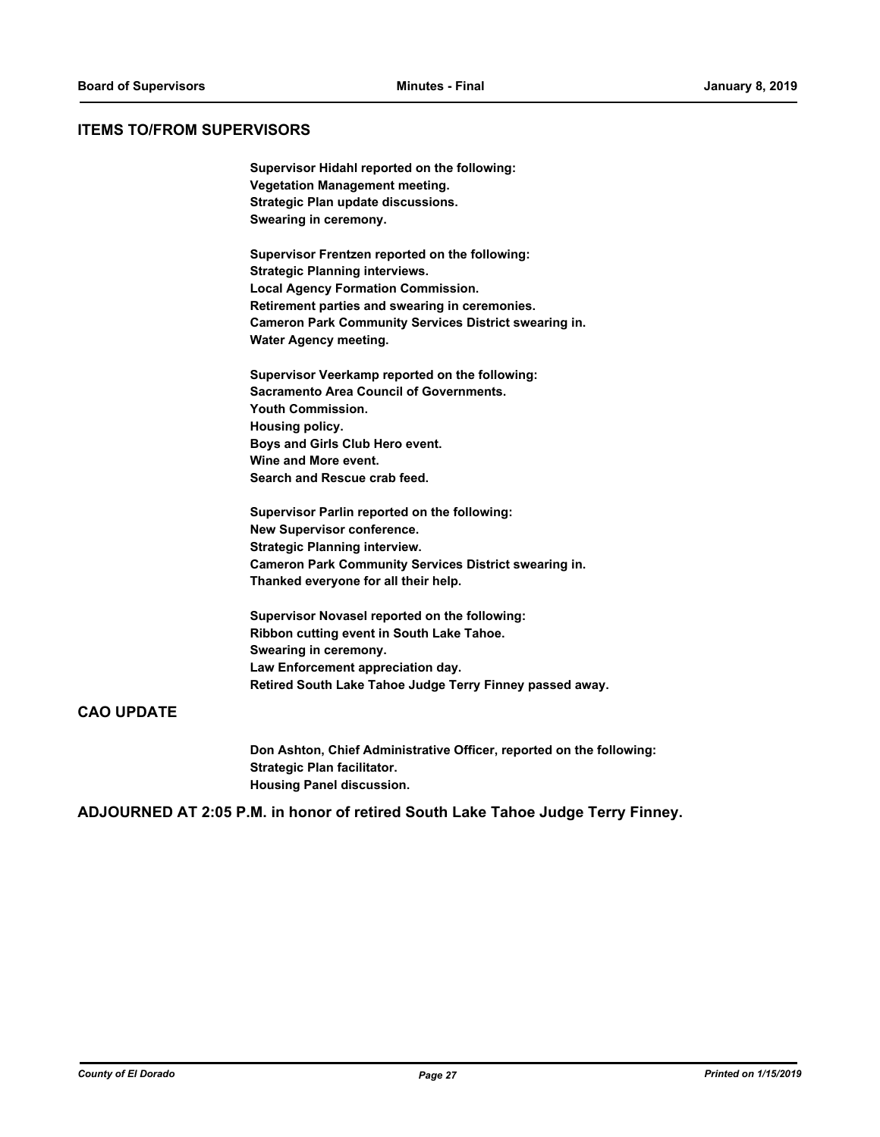#### **ITEMS TO/FROM SUPERVISORS**

**Supervisor Hidahl reported on the following: Vegetation Management meeting. Strategic Plan update discussions. Swearing in ceremony.**

**Supervisor Frentzen reported on the following: Strategic Planning interviews. Local Agency Formation Commission. Retirement parties and swearing in ceremonies. Cameron Park Community Services District swearing in. Water Agency meeting.**

**Supervisor Veerkamp reported on the following: Sacramento Area Council of Governments. Youth Commission. Housing policy. Boys and Girls Club Hero event. Wine and More event. Search and Rescue crab feed.**

**Supervisor Parlin reported on the following: New Supervisor conference. Strategic Planning interview. Cameron Park Community Services District swearing in. Thanked everyone for all their help.**

**Supervisor Novasel reported on the following: Ribbon cutting event in South Lake Tahoe. Swearing in ceremony. Law Enforcement appreciation day. Retired South Lake Tahoe Judge Terry Finney passed away.**

#### **CAO UPDATE**

**Don Ashton, Chief Administrative Officer, reported on the following: Strategic Plan facilitator. Housing Panel discussion.**

**ADJOURNED AT 2:05 P.M. in honor of retired South Lake Tahoe Judge Terry Finney.**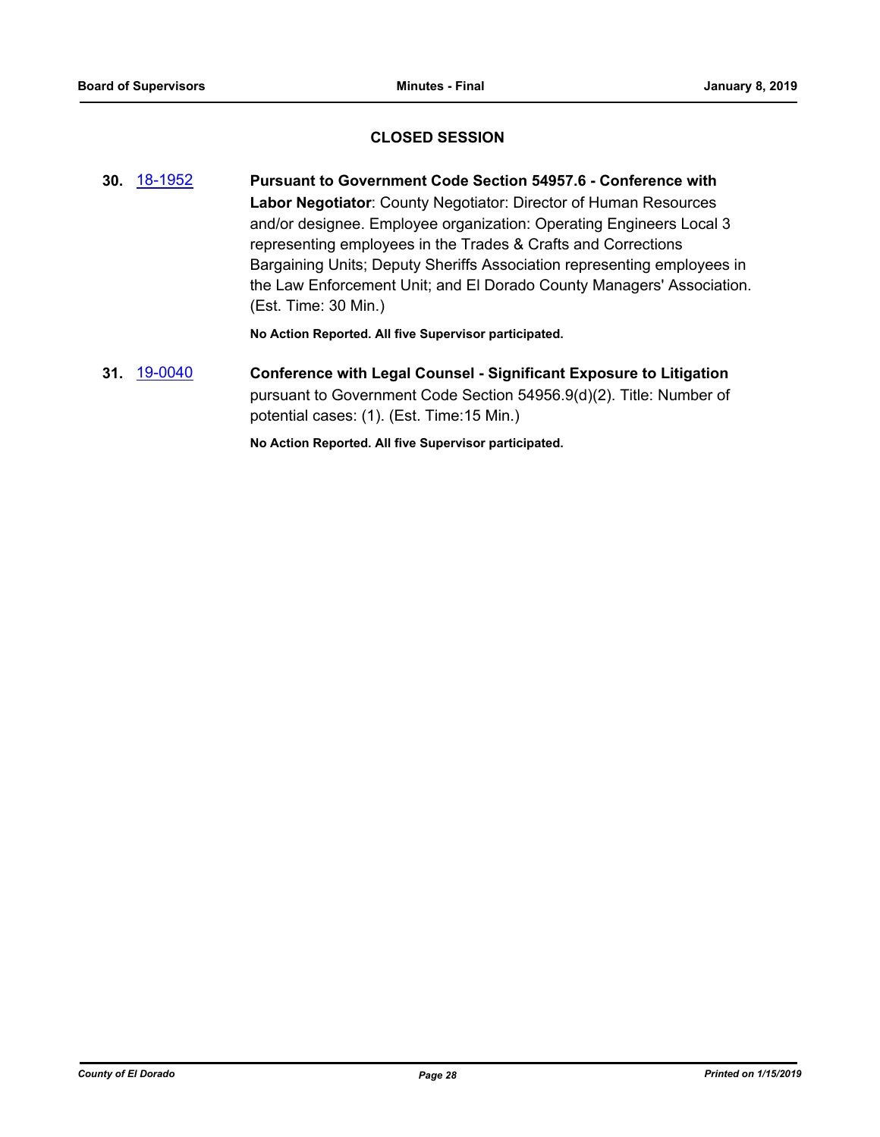## **CLOSED SESSION**

**30.** [18-1952](http://eldorado.legistar.com/gateway.aspx?m=l&id=/matter.aspx?key=25302) **Pursuant to Government Code Section 54957.6 - Conference with Labor Negotiator**: County Negotiator: Director of Human Resources and/or designee. Employee organization: Operating Engineers Local 3 representing employees in the Trades & Crafts and Corrections Bargaining Units; Deputy Sheriffs Association representing employees in the Law Enforcement Unit; and El Dorado County Managers' Association. (Est. Time: 30 Min.)

**No Action Reported. All five Supervisor participated.**

## **31.** [19-0040](http://eldorado.legistar.com/gateway.aspx?m=l&id=/matter.aspx?key=25361) **Conference with Legal Counsel - Significant Exposure to Litigation** pursuant to Government Code Section 54956.9(d)(2). Title: Number of potential cases: (1). (Est. Time:15 Min.)

**No Action Reported. All five Supervisor participated.**